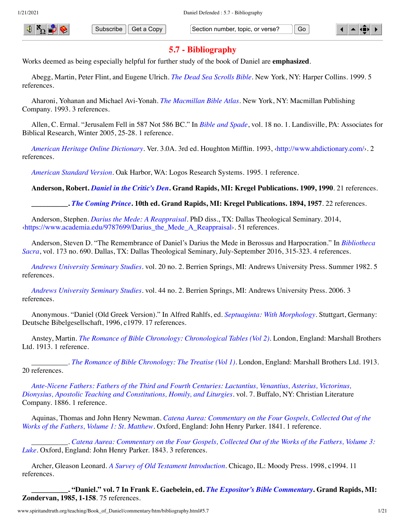

Subscribe Get a Copy Section number, topic, or verse? Go

# **5.7 - Bibliography**

Works deemed as being especially helpful for further study of the book of Daniel are **emphasized**.

Abegg, Martin, Peter Flint, and Eugene Ulrich. *[The Dead Sea Scrolls Bible](http://www.spiritandtruth.org/id/isbn.htm?0060600640)*. New York, NY: Harper Collins. 1999. 5 references.

Aharoni, Yohanan and Michael Avi-Yonah. *[The Macmillan Bible Atlas](http://www.amazon.com/gp/search/ref=sr_adv_b/?search-alias=stripbooks&unfiltered=1&field-title=The%20Macmillan%20Bible%20Atlas)*. New York, NY: Macmillan Publishing Company. 1993. 3 references.

Allen, C. Ermal. "Jerusalem Fell in 587 Not 586 BC." In *[Bible and Spade](#page-1-0)*, vol. 18 no. 1. Landisville, PA: Associates for Biblical Research, Winter 2005, 25-28. 1 reference.

*[American Heritage Online Dictionary](http://www.amazon.com/gp/search/ref=sr_adv_b/?search-alias=stripbooks&unfiltered=1&field-title=American%20Heritage%20Online%20Dictionary)*. Ver. 3.0A. 3rd ed. Houghton Mifflin. 1993, ‹[http://www.ahdictionary.com/›](http://www.ahdictionary.com/). 2 references.

*[American Standard Version](http://www.amazon.com/gp/search/ref=sr_adv_b/?search-alias=stripbooks&unfiltered=1&field-title=American%20Standard%20Version)*. Oak Harbor, WA: Logos Research Systems. 1995. 1 reference.

**Anderson, Robert.** *[Daniel in the Critic's Den](http://www.amazon.com/gp/search/ref=sr_adv_b/?search-alias=stripbooks&unfiltered=1&field-title=Daniel%20in%20the%20Critic%E2%80%99s%20Den)***. Grand Rapids, MI: Kregel Publications. 1909, 1990**. 21 references.

**\_\_\_\_\_\_\_\_\_\_.** *[The Coming Prince](http://www.amazon.com/gp/search/ref=sr_adv_b/?search-alias=stripbooks&unfiltered=1&field-title=The%20Coming%20Prince)***. 10th ed. Grand Rapids, MI: Kregel Publications. 1894, 1957**. 22 references.

Anderson, Stephen. *[Darius the Mede: A Reappraisal](http://www.amazon.com/gp/search/ref=sr_adv_b/?search-alias=stripbooks&unfiltered=1&field-title=Darius%20the%20Mede:%20A%20Reappraisal)*. PhD diss., TX: Dallas Theological Seminary. 2014, [‹https://www.academia.edu/9787699/Darius\\_the\\_Mede\\_A\\_Reappraisal›](https://www.academia.edu/9787699/Darius_the_Mede_A_Reappraisal). 51 references.

[Anderson, Steven D. "The Remembrance of Daniel's Darius the Mede in Berossus and Harpocration." In](#page-2-0) *Bibliotheca Sacra*, vol. 173 no. 690. Dallas, TX: Dallas Theological Seminary, July-September 2016, 315-323. 4 references.

<span id="page-0-1"></span>*[Andrews University Seminary Studies](http://www.amazon.com/gp/search/ref=sr_adv_b/?search-alias=stripbooks&unfiltered=1&field-title=Andrews%20University%20Seminary%20Studies)*. vol. 20 no. 2. Berrien Springs, MI: Andrews University Press. Summer 1982. 5 references.

<span id="page-0-2"></span>*[Andrews University Seminary Studies](http://www.amazon.com/gp/search/ref=sr_adv_b/?search-alias=stripbooks&unfiltered=1&field-title=Andrews%20University%20Seminary%20Studies)*. vol. 44 no. 2. Berrien Springs, MI: Andrews University Press. 2006. 3 references.

Anonymous. "Daniel (Old Greek Version)." In Alfred Rahlfs, ed. *[Septuaginta: With Morphology](#page-14-0)*. Stuttgart, Germany: Deutsche Bibelgesellschaft, 1996, c1979. 17 references.

Anstey, Martin. *[The Romance of Bible Chronology: Chronological Tables \(Vol 2\)](http://www.amazon.com/gp/search/ref=sr_adv_b/?search-alias=stripbooks&unfiltered=1&field-title=The%20Romance%20of%20Bible%20Chronology:%20Chronological%20Tables%20(Vol%202))*. London, England: Marshall Brothers Ltd. 1913. 1 reference.

\_\_\_\_\_\_\_\_\_\_. *[The Romance of Bible Chronology: The Treatise \(Vol 1\)](http://www.spiritandtruth.org/id/isbn.htm?9781588403315)*. London, England: Marshall Brothers Ltd. 1913. 20 references.

<span id="page-0-0"></span>*[Ante-Nicene Fathers: Fathers of the Third and Fourth Centuries: Lactantius, Venantius, Asterius, Victorinus,](http://www.amazon.com/gp/search/ref=sr_adv_b/?search-alias=stripbooks&unfiltered=1&field-title=Ante-Nicene%20Fathers:%20Fathers%20of%20the%20Third%20and%20Fourth%20Centuries:%20Lactantius,%20Venantius,%20Asterius,%20Victorinus,%20Dionysius,%20Apostolic%20Teaching%20and%20Constitutions,%20Homily,%20and%20Liturgies) Dionysius, Apostolic Teaching and Constitutions, Homily, and Liturgies*. vol. 7. Buffalo, NY: Christian Literature Company. 1886. 1 reference.

Aquinas, Thomas and John Henry Newman. *[Catena Aurea: Commentary on the Four Gospels, Collected Out of the](http://www.amazon.com/gp/search/ref=sr_adv_b/?search-alias=stripbooks&unfiltered=1&field-title=Catena%20Aurea:%20Commentary%20on%20the%20Four%20Gospels,%20Collected%20Out%20of%20the%20Works%20of%20the%20Fathers,%20Volume%201:%20St.%20Matthew) Works of the Fathers, Volume 1: St. Matthew*. Oxford, England: John Henry Parker. 1841. 1 reference.

\_\_\_\_\_\_\_\_\_\_. *[Catena Aurea: Commentary on the Four Gospels, Collected Out of the Works of the Fathers, Volume 3:](http://www.amazon.com/gp/search/ref=sr_adv_b/?search-alias=stripbooks&unfiltered=1&field-title=Catena%20Aurea:%20Commentary%20on%20the%20Four%20Gospels,%20Collected%20Out%20of%20the%20Works%20of%20the%20Fathers,%20Volume%203:%20Luke) Luke*. Oxford, England: John Henry Parker. 1843. 3 references.

Archer, Gleason Leonard. *[A Survey of Old Testament Introduction](http://www.amazon.com/gp/search/ref=sr_adv_b/?search-alias=stripbooks&unfiltered=1&field-title=A%20Survey%20of%20Old%20Testament%20Introduction)*. Chicago, IL: Moody Press. 1998, c1994. 11 references.

**\_\_\_\_\_\_\_\_\_\_. "Daniel." vol. 7 In Frank E. Gaebelein, ed.** *[The Expositor's Bible Commentary](#page-6-0)***. Grand Rapids, MI: Zondervan, 1985, 1-158**. 75 references.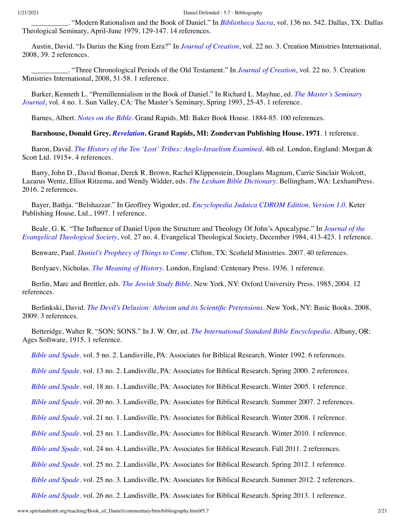\_\_\_\_\_\_\_\_\_\_. "Modern Rationalism and the Book of Daniel." In *[Bibliotheca Sacra](#page-2-1)*, vol. 136 no. 542. Dallas, TX: Dallas Theological Seminary, April-June 1979, 129-147. 14 references.

Austin, David. "Is Darius the King from Ezra?" In *[Journal of Creation](#page-9-0)*, vol. 22 no. 3. Creation Ministries International, 2008, 39. 2 references.

\_\_\_\_\_\_\_\_\_\_. "Three Chronological Periods of the Old Testament." In *[Journal of Creation](#page-9-0)*, vol. 22 no. 3. Creation Ministries International, 2008, 51-58. 1 reference.

[Barker, Kenneth L. "Premillennialism in the Book of Daniel." In Richard L. Mayhue, ed.](#page-11-0) *The Master's Seminary Journal*, vol. 4 no. 1. Sun Valley, CA: The Master's Seminary, Spring 1993, 25-45. 1 reference.

Barnes, Albert. *[Notes on the Bible](http://www.amazon.com/gp/search/ref=sr_adv_b/?search-alias=stripbooks&unfiltered=1&field-title=Notes%20on%20the%20Bible)*. Grand Rapids, MI: Baker Book House. 1884-85. 100 references.

## **Barnhouse, Donald Grey.** *[Revelation](http://www.amazon.com/gp/search/ref=sr_adv_b/?search-alias=stripbooks&unfiltered=1&field-title=Revelation)***. Grand Rapids, MI: Zondervan Publishing House. 1971**. 1 reference.

Baron, David. *[The History of the Ten 'Lost' Tribes: Anglo-Israelism Examined](http://www.amazon.com/gp/search/ref=sr_adv_b/?search-alias=stripbooks&unfiltered=1&field-title=The%20History%20of%20the%20Ten%20%E2%80%98Lost%E2%80%99%20Tribes:%20Anglo-Israelism%20Examined)*. 4th ed. London, England: Morgan & Scott Ltd. 1915<sub>+</sub>. 4 references.

Barry, John D., David Bomar, Derek R. Brown, Rachel Klippenstein, Douglans Magnum, Carrie Sinclair Wolcott, Lazarus Wentz, Elliot Ritzema, and Wendy Widder, eds. *[The Lexham Bible Dictionary](http://www.amazon.com/gp/search/ref=sr_adv_b/?search-alias=stripbooks&unfiltered=1&field-title=The%20Lexham%20Bible%20Dictionary)*. Bellingham, WA: LexhamPress. 2016. 2 references.

Bayer, Bathja. "Belshazzar." In Geoffrey Wigoder, ed. *[Encyclopedia Judaica CDROM Edition, Version 1.0](#page-18-0)*. Keter Publishing House, Ltd., 1997. 1 reference.

[Beale, G. K. "The Influence of Daniel Upon the Structure and Theology Of John's Apocalypse." In](#page-9-1) *Journal of the Evangelical Theological Society*, vol. 27 no. 4. Evangelical Theological Society, December 1984, 413-423. 1 reference.

Benware, Paul. *[Daniel's Prophecy of Things to Come](http://www.amazon.com/gp/search/ref=sr_adv_b/?search-alias=stripbooks&unfiltered=1&field-title=Daniel%E2%80%99s%20Prophecy%20of%20Things%20to%20Come)*. Clifton, TX: Scofield Ministries. 2007. 40 references.

Berdyaev, Nicholas. *[The Meaning of History](http://www.amazon.com/gp/search/ref=sr_adv_b/?search-alias=stripbooks&unfiltered=1&field-title=The%20Meaning%20of%20History)*. London, England: Centenary Press. 1936. 1 reference.

Berlin, Marc and Brettler, eds. *[The Jewish Study Bible](http://www.spiritandtruth.org/id/isbn.htm?0195297512)*. New York, NY: Oxford University Press. 1985, 2004. 12 references.

Berlinkski, David. *[The Devil's Delusion: Atheism and its Scientific Pretensions](http://www.spiritandtruth.org/id/isbn.htm?9780786751471)*. New York, NY: Basic Books. 2008, 2009. 3 references.

Betteridge, Walter R. "SON; SONS." In J. W. Orr, ed. *[The International Standard Bible Encyclopedia](#page-13-0)*. Albany, OR: Ages Software, 1915. 1 reference.

<span id="page-1-3"></span>*[Bible and Spade](http://www.amazon.com/gp/search/ref=sr_adv_b/?search-alias=stripbooks&unfiltered=1&field-title=Bible%20and%20Spade)*. vol. 5 no. 2. Landisville, PA: Associates for Biblical Research. Winter 1992. 6 references.

<span id="page-1-5"></span>*[Bible and Spade](http://www.amazon.com/gp/search/ref=sr_adv_b/?search-alias=stripbooks&unfiltered=1&field-title=Bible%20and%20Spade)*. vol. 13 no. 2. Landisville, PA: Associates for Biblical Research. Spring 2000. 2 references.

<span id="page-1-0"></span>*[Bible and Spade](http://www.amazon.com/gp/search/ref=sr_adv_b/?search-alias=stripbooks&unfiltered=1&field-title=Bible%20and%20Spade)*. vol. 18 no. 1. Landisville, PA: Associates for Biblical Research. Winter 2005. 1 reference.

<span id="page-1-7"></span>*[Bible and Spade](http://www.amazon.com/gp/search/ref=sr_adv_b/?search-alias=stripbooks&unfiltered=1&field-title=Bible%20and%20Spade)*. vol. 20 no. 3. Landisville, PA: Associates for Biblical Research. Summer 2007. 2 references.

<span id="page-1-4"></span>*[Bible and Spade](http://www.amazon.com/gp/search/ref=sr_adv_b/?search-alias=stripbooks&unfiltered=1&field-title=Bible%20and%20Spade)*. vol. 21 no. 1. Landisville, PA: Associates for Biblical Research. Winter 2008. 1 reference.

<span id="page-1-2"></span>*[Bible and Spade](http://www.amazon.com/gp/search/ref=sr_adv_b/?search-alias=stripbooks&unfiltered=1&field-title=Bible%20and%20Spade)*. vol. 23 no. 1. Landisville, PA: Associates for Biblical Research. Winter 2010. 1 reference.

<span id="page-1-8"></span>*[Bible and Spade](http://www.amazon.com/gp/search/ref=sr_adv_b/?search-alias=stripbooks&unfiltered=1&field-title=Bible%20and%20Spade)*. vol. 24 no. 4. Landisville, PA: Associates for Biblical Research. Fall 2011. 2 references.

<span id="page-1-6"></span>*[Bible and Spade](http://www.amazon.com/gp/search/ref=sr_adv_b/?search-alias=stripbooks&unfiltered=1&field-title=Bible%20and%20Spade)*. vol. 25 no. 2. Landisville, PA: Associates for Biblical Research. Spring 2012. 1 reference.

<span id="page-1-1"></span>*[Bible and Spade](http://www.amazon.com/gp/search/ref=sr_adv_b/?search-alias=stripbooks&unfiltered=1&field-title=Bible%20and%20Spade)*. vol. 25 no. 3. Landisville, PA: Associates for Biblical Research. Summer 2012. 2 references.

<span id="page-1-9"></span>*[Bible and Spade](http://www.amazon.com/gp/search/ref=sr_adv_b/?search-alias=stripbooks&unfiltered=1&field-title=Bible%20and%20Spade)*. vol. 26 no. 2. Landisville, PA: Associates for Biblical Research. Spring 2013. 1 reference.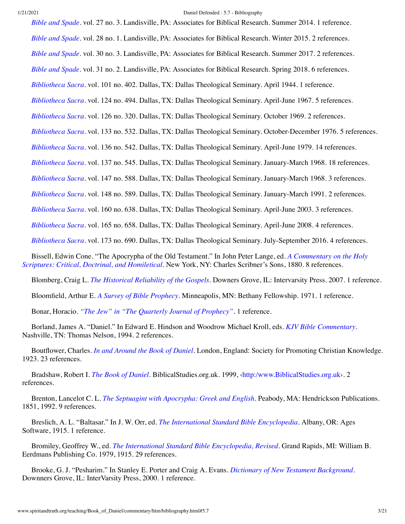<span id="page-2-15"></span><span id="page-2-14"></span><span id="page-2-13"></span><span id="page-2-12"></span><span id="page-2-11"></span><span id="page-2-8"></span><span id="page-2-7"></span><span id="page-2-3"></span><span id="page-2-1"></span>*[Bible and Spade](http://www.amazon.com/gp/search/ref=sr_adv_b/?search-alias=stripbooks&unfiltered=1&field-title=Bible%20and%20Spade)*. vol. 27 no. 3. Landisville, PA: Associates for Biblical Research. Summer 2014. 1 reference. *[Bible and Spade](http://www.amazon.com/gp/search/ref=sr_adv_b/?search-alias=stripbooks&unfiltered=1&field-title=Bible%20and%20Spade)*. vol. 28 no. 1. Landisville, PA: Associates for Biblical Research. Winter 2015. 2 references. *[Bible and Spade](http://www.amazon.com/gp/search/ref=sr_adv_b/?search-alias=stripbooks&unfiltered=1&field-title=Bible%20and%20Spade)*. vol. 30 no. 3. Landisville, PA: Associates for Biblical Research. Summer 2017. 2 references. *[Bible and Spade](http://www.amazon.com/gp/search/ref=sr_adv_b/?search-alias=stripbooks&unfiltered=1&field-title=Bible%20and%20Spade)*. vol. 31 no. 2. Landisville, PA: Associates for Biblical Research. Spring 2018. 6 references. *[Bibliotheca Sacra](http://www.amazon.com/gp/search/ref=sr_adv_b/?search-alias=stripbooks&unfiltered=1&field-title=Bibliotheca%20Sacra)*. vol. 101 no. 402. Dallas, TX: Dallas Theological Seminary. April 1944. 1 reference. *[Bibliotheca Sacra](http://www.amazon.com/gp/search/ref=sr_adv_b/?search-alias=stripbooks&unfiltered=1&field-title=Bibliotheca%20Sacra)*. vol. 124 no. 494. Dallas, TX: Dallas Theological Seminary. April-June 1967. 5 references. *[Bibliotheca Sacra](http://www.amazon.com/gp/search/ref=sr_adv_b/?search-alias=stripbooks&unfiltered=1&field-title=Bibliotheca%20Sacra)*. vol. 126 no. 320. Dallas, TX: Dallas Theological Seminary. October 1969. 2 references. *[Bibliotheca Sacra](http://www.amazon.com/gp/search/ref=sr_adv_b/?search-alias=stripbooks&unfiltered=1&field-title=Bibliotheca%20Sacra)*. vol. 133 no. 532. Dallas, TX: Dallas Theological Seminary. October-December 1976. 5 references. *[Bibliotheca Sacra](http://www.amazon.com/gp/search/ref=sr_adv_b/?search-alias=stripbooks&unfiltered=1&field-title=Bibliotheca%20Sacra)*. vol. 136 no. 542. Dallas, TX: Dallas Theological Seminary. April-June 1979. 14 references. *[Bibliotheca Sacra](http://www.amazon.com/gp/search/ref=sr_adv_b/?search-alias=stripbooks&unfiltered=1&field-title=Bibliotheca%20Sacra)*. vol. 137 no. 545. Dallas, TX: Dallas Theological Seminary. January-March 1968. 18 references. *[Bibliotheca Sacra](http://www.amazon.com/gp/search/ref=sr_adv_b/?search-alias=stripbooks&unfiltered=1&field-title=Bibliotheca%20Sacra)*. vol. 147 no. 588. Dallas, TX: Dallas Theological Seminary. January-March 1968. 3 references. *[Bibliotheca Sacra](http://www.amazon.com/gp/search/ref=sr_adv_b/?search-alias=stripbooks&unfiltered=1&field-title=Bibliotheca%20Sacra)*. vol. 148 no. 589. Dallas, TX: Dallas Theological Seminary. January-March 1991. 2 references. *[Bibliotheca Sacra](http://www.amazon.com/gp/search/ref=sr_adv_b/?search-alias=stripbooks&unfiltered=1&field-title=Bibliotheca%20Sacra)*. vol. 160 no. 638. Dallas, TX: Dallas Theological Seminary. April-June 2003. 3 references. *[Bibliotheca Sacra](http://www.amazon.com/gp/search/ref=sr_adv_b/?search-alias=stripbooks&unfiltered=1&field-title=Bibliotheca%20Sacra)*. vol. 165 no. 658. Dallas, TX: Dallas Theological Seminary. April-June 2008. 4 references. *[Bibliotheca Sacra](http://www.amazon.com/gp/search/ref=sr_adv_b/?search-alias=stripbooks&unfiltered=1&field-title=Bibliotheca%20Sacra)*. vol. 173 no. 690. Dallas, TX: Dallas Theological Seminary. July-September 2016. 4 references. [Bissell, Edwin Cone. "The Apocrypha of the Old Testament." In John Peter Lange, ed.](#page-10-0) *A Commentary on the Holy Scriptures: Critical, Doctrinal, and Homiletical*. New York, NY: Charles Scribner's Sons, 1880. 8 references.

<span id="page-2-10"></span><span id="page-2-9"></span><span id="page-2-6"></span><span id="page-2-5"></span><span id="page-2-2"></span><span id="page-2-0"></span>Blomberg, Craig L. *[The Historical Reliability of the Gospels](http://www.spiritandtruth.org/id/isbn.htm?9780830828074)*. Downers Grove, IL: Intervarsity Press. 2007. 1 reference.

Bloomfield, Arthur E. *[A Survey of Bible Prophecy](http://www.amazon.com/gp/search/ref=sr_adv_b/?search-alias=stripbooks&unfiltered=1&field-title=A%20Survey%20of%20Bible%20Prophecy)*. Minneapolis, MN: Bethany Fellowship. 1971. 1 reference.

Bonar, Horacio. *["The Jew" in "The Quarterly Journal of Prophecy"](http://www.spiritandtruth.org/id/isbn.htm?9780805446272)*. 1 reference.

Borland, James A. "Daniel." In Edward E. Hindson and Woodrow Michael Kroll, eds. *[KJV Bible Commentary](#page-7-0)*. Nashville, TN: Thomas Nelson, 1994. 2 references.

Boutflower, Charles. *[In and Around the Book of Daniel](http://www.amazon.com/gp/search/ref=sr_adv_b/?search-alias=stripbooks&unfiltered=1&field-title=In%20and%20Around%20the%20Book%20of%20Daniel)*. London, England: Society for Promoting Christian Knowledge. 1923. 23 references.

Bradshaw, Robert I. *[The Book of Daniel](http://www.amazon.com/gp/search/ref=sr_adv_b/?search-alias=stripbooks&unfiltered=1&field-title=The%20Book%20of%20Daniel)*. BiblicalStudies.org.uk. 1999, ‹[http:/www.BiblicalStudies.org.uk](http://www.spiritandtruth.org/www.BiblicalStudies.org.uk)›. 2 references.

Brenton, Lancelot C. L. *[The Septuagint with Apocrypha: Greek and English](http://www.amazon.com/gp/search/ref=sr_adv_b/?search-alias=stripbooks&unfiltered=1&field-title=The%20Septuagint%20with%20Apocrypha:%20Greek%20and%20English)*. Peabody, MA: Hendrickson Publications. 1851, 1992. 9 references.

Breslich, A. L. "Baltasar." In J. W. Orr, ed. *[The International Standard Bible Encyclopedia](#page-13-0)*. Albany, OR: Ages Software, 1915. 1 reference.

<span id="page-2-4"></span>Bromiley, Geoffrey W., ed. *[The International Standard Bible Encyclopedia, Revised](http://www.amazon.com/gp/search/ref=sr_adv_b/?search-alias=stripbooks&unfiltered=1&field-title=The%20International%20Standard%20Bible%20Encyclopedia,%20Revised)*. Grand Rapids, MI: William B. Eerdmans Publishing Co. 1979, 1915. 29 references.

Brooke, G. J. "Pesharim." In Stanley E. Porter and Craig A. Evans. *[Dictionary of New Testament Background](#page-14-1)*. Downners Grove, IL: InterVarsity Press, 2000. 1 reference.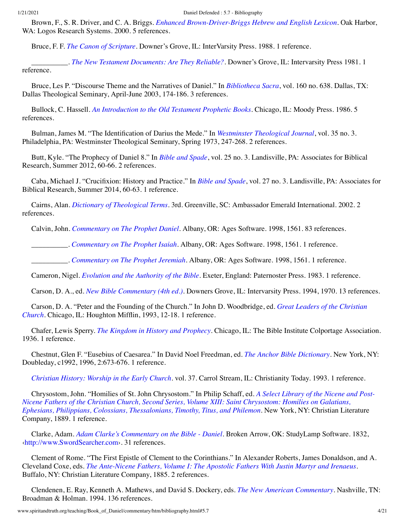Brown, F., S. R. Driver, and C. A. Briggs. *[Enhanced Brown-Driver-Briggs Hebrew and English Lexicon](http://www.amazon.com/gp/search/ref=sr_adv_b/?search-alias=stripbooks&unfiltered=1&field-title=Enhanced%20Brown-Driver-Briggs%20Hebrew%20and%20English%20Lexicon)*. Oak Harbor, WA: Logos Research Systems. 2000. 5 references.

Bruce, F. F. *[The Canon of Scripture](http://www.spiritandtruth.org/id/isbn.htm?083031258X)*. Downer's Grove, IL: InterVarsity Press. 1988. 1 reference.

\_\_\_\_\_\_\_\_\_\_. *[The New Testament Documents: Are They Reliable?](http://www.spiritandtruth.org/id/isbn.htm?0830827366)*. Downer's Grove, IL: Intervarsity Press 1981. 1 reference.

Bruce, Les P. "Discourse Theme and the Narratives of Daniel." In *[Bibliotheca Sacra](#page-2-2)*, vol. 160 no. 638. Dallas, TX: Dallas Theological Seminary, April-June 2003, 174-186. 3 references.

Bullock, C. Hassell. *[An Introduction to the Old Testament Prophetic Books](http://www.spiritandtruth.org/id/isbn.htm?0802441424)*. Chicago, IL: Moody Press. 1986. 5 references.

Bulman, James M. "The Identification of Darius the Mede." In *[Westminster Theological Journal](#page-18-1)*, vol. 35 no. 3. Philadelphia, PA: Westminster Theological Seminary, Spring 1973, 247-268. 2 references.

Butt, Kyle. "The Prophecy of Daniel 8." In *[Bible and Spade](#page-1-1)*, vol. 25 no. 3. Landisville, PA: Associates for Biblical Research, Summer 2012, 60-66. 2 references.

Caba, Michael J. "Crucifixion: History and Practice." In *[Bible and Spade](#page-2-3)*, vol. 27 no. 3. Landisville, PA: Associates for Biblical Research, Summer 2014, 60-63. 1 reference.

Cairns, Alan. *[Dictionary of Theological Terms](http://www.spiritandtruth.org/id/isbn.htm?1889893722)*. 3rd. Greenville, SC: Ambassador Emerald International. 2002. 2 references.

<span id="page-3-2"></span>Calvin, John. *[Commentary on The Prophet Daniel](http://www.amazon.com/gp/search/ref=sr_adv_b/?search-alias=stripbooks&unfiltered=1&field-title=Commentary%20on%20The%20Prophet%20Daniel)*. Albany, OR: Ages Software. 1998, 1561. 83 references.

\_\_\_\_\_\_\_\_\_\_. *[Commentary on The Prophet Isaiah](http://www.amazon.com/gp/search/ref=sr_adv_b/?search-alias=stripbooks&unfiltered=1&field-title=Commentary%20on%20The%20Prophet%20Isaiah)*. Albany, OR: Ages Software. 1998, 1561. 1 reference.

\_\_\_\_\_\_\_\_\_\_. *[Commentary on The Prophet Jeremiah](http://www.amazon.com/gp/search/ref=sr_adv_b/?search-alias=stripbooks&unfiltered=1&field-title=Commentary%20on%20The%20Prophet%20Jeremiah)*. Albany, OR: Ages Software. 1998, 1561. 1 reference.

Cameron, Nigel. *[Evolution and the Authority of the Bible](http://www.spiritandtruth.org/id/isbn.htm?0853643261)*. Exeter, England: Paternoster Press. 1983. 1 reference.

<span id="page-3-0"></span>Carson, D. A., ed. *[New Bible Commentary \(4th ed.\)](http://www.amazon.com/gp/search/ref=sr_adv_b/?search-alias=stripbooks&unfiltered=1&field-title=New%20Bible%20Commentary%20(4th%20ed.))*. Downers Grove, IL: Intervarsity Press. 1994, 1970. 13 references.

[Carson, D. A. "Peter and the Founding of the Church." In John D. Woodbridge, ed.](#page-19-0) *Great Leaders of the Christian Church*. Chicago, IL: Houghton Mifflin, 1993, 12-18. 1 reference.

Chafer, Lewis Sperry. *[The Kingdom in History and Prophecy](http://www.amazon.com/gp/search/ref=sr_adv_b/?search-alias=stripbooks&unfiltered=1&field-title=The%20Kingdom%20in%20History%20and%20Prophecy)*. Chicago, IL: The Bible Institute Colportage Association. 1936. 1 reference.

Chestnut, Glen F. "Eusebius of Caesarea." In David Noel Freedman, ed. *[The Anchor Bible Dictionary](#page-6-1)*. New York, NY: Doubleday, c1992, 1996, 2:673-676. 1 reference.

<span id="page-3-3"></span>*[Christian History: Worship in the Early Church](http://www.amazon.com/gp/search/ref=sr_adv_b/?search-alias=stripbooks&unfiltered=1&field-title=Christian%20History:%20Worship%20in%20the%20Early%20Church)*. vol. 37. Carrol Stream, IL: Christianity Today. 1993. 1 reference.

Chrysostom, John. "Homilies of St. John Chrysostom." In Philip Schaff, ed. *A Select Library of the Nicene and Post-[Nicene Fathers of the Christian Church, Second Series, Volume XIII: Saint Chrysostom: Homilies on Galatians,](#page-15-0) Ephesians, Philippians, Colossians, Thessalonians, Timothy, Titus, and Philemon*. New York, NY: Christian Literature Company, 1889. 1 reference.

Clarke, Adam. *[Adam Clarke's Commentary on the Bible - Daniel](http://www.amazon.com/gp/search/ref=sr_adv_b/?search-alias=stripbooks&unfiltered=1&field-title=Adam%20Clarke%E2%80%99s%20Commentary%20on%20the%20Bible%20-%20Daniel)*. Broken Arrow, OK: StudyLamp Software. 1832, [‹http://www.SwordSearcher.com›](http://www.swordsearcher.com/). 31 references.

Clement of Rome. "The First Epistle of Clement to the Corinthians." In Alexander Roberts, James Donaldson, and A. Cleveland Coxe, eds. *[The Ante-Nicene Fathers, Volume I: The Apostolic Fathers With Justin Martyr and Irenaeus](#page-14-2)*. Buffalo, NY: Christian Literature Company, 1885. 2 references.

<span id="page-3-1"></span>Clendenen, E. Ray, Kenneth A. Mathews, and David S. Dockery, eds. *[The New American Commentary](http://www.amazon.com/gp/search/ref=sr_adv_b/?search-alias=stripbooks&unfiltered=1&field-title=The%20New%20American%20Commentary)*. Nashville, TN: Broadman & Holman. 1994. 136 references.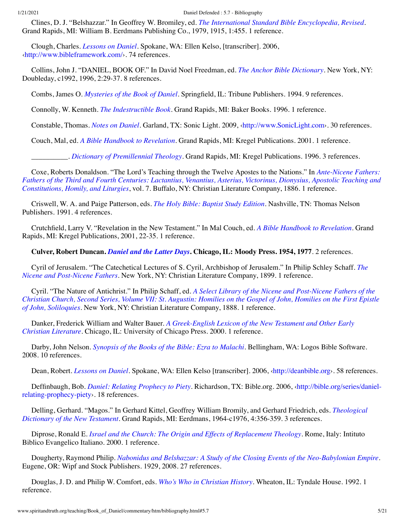Clines, D. J. "Belshazzar." In Geoffrey W. Bromiley, ed. *[The International Standard Bible Encyclopedia, Revised](#page-2-4)*. Grand Rapids, MI: William B. Eerdmans Publishing Co., 1979, 1915, 1:455. 1 reference.

Clough, Charles. *[Lessons on Daniel](http://www.amazon.com/gp/search/ref=sr_adv_b/?search-alias=stripbooks&unfiltered=1&field-title=Lessons%20on%20Daniel)*. Spokane, WA: Ellen Kelso, [transcriber]. 2006, [‹http://www.bibleframework.com/](http://www.bibleframework.com/)›. 74 references.

Collins, John J. "DANIEL, BOOK OF." In David Noel Freedman, ed. *[The Anchor Bible Dictionary](#page-6-1)*. New York, NY: Doubleday, c1992, 1996, 2:29-37. 8 references.

Combs, James O. *[Mysteries of the Book of Daniel](http://www.amazon.com/gp/search/ref=sr_adv_b/?search-alias=stripbooks&unfiltered=1&field-title=Mysteries%20of%20the%20Book%20of%20Daniel)*. Springfield, IL: Tribune Publishers. 1994. 9 references.

Connolly, W. Kenneth. *[The Indestructible Book](http://www.spiritandtruth.org/id/isbn.htm?0801011264)*. Grand Rapids, MI: Baker Books. 1996. 1 reference.

Constable, Thomas. *[Notes on Daniel](http://www.amazon.com/gp/search/ref=sr_adv_b/?search-alias=stripbooks&unfiltered=1&field-title=Notes%20on%20Daniel)*. Garland, TX: Sonic Light. 2009, ‹[http://www.SonicLight.com›](http://www.soniclight.com/). 30 references.

<span id="page-4-0"></span>Couch, Mal, ed. *[A Bible Handbook to Revelation](http://www.amazon.com/gp/search/ref=sr_adv_b/?search-alias=stripbooks&unfiltered=1&field-title=A%20Bible%20Handbook%20to%20Revelation)*. Grand Rapids, MI: Kregel Publications. 2001. 1 reference.

\_\_\_\_\_\_\_\_\_\_. *[Dictionary of Premillennial Theology](http://www.amazon.com/gp/search/ref=sr_adv_b/?search-alias=stripbooks&unfiltered=1&field-title=Dictionary%20of%20Premillennial%20Theology)*. Grand Rapids, MI: Kregel Publications. 1996. 3 references.

<span id="page-4-1"></span>Coxe, Roberts Donaldson. "The Lord's Teaching through the Twelve Apostes to the Nations." In *Ante-Nicene Fathers: [Fathers of the Third and Fourth Centuries: Lactantius, Venantius, Asterius, Victorinus, Dionysius, Apostolic Teaching and](#page-0-0) Constitutions, Homily, and Liturgies*, vol. 7. Buffalo, NY: Christian Literature Company, 1886. 1 reference.

Criswell, W. A. and Paige Patterson, eds. *[The Holy Bible: Baptist Study Edition](http://www.amazon.com/gp/search/ref=sr_adv_b/?search-alias=stripbooks&unfiltered=1&field-title=The%20Holy%20Bible:%20Baptist%20Study%20Edition)*. Nashville, TN: Thomas Nelson Publishers. 1991. 4 references.

Crutchfield, Larry V. "Revelation in the New Testament." In Mal Couch, ed. *[A Bible Handbook to Revelation](#page-4-0)*. Grand Rapids, MI: Kregel Publications, 2001, 22-35. 1 reference.

**Culver, Robert Duncan.** *[Daniel and the Latter Days](http://www.spiritandtruth.org/id/isbn.htm?0802417558)***. Chicago, IL: Moody Press. 1954, 1977**. 2 references.

[Cyril of Jerusalem. "The Catechetical Lectures of S. Cyril, Archbishop of Jerusalem." In Philip Schley Schaff.](#page-15-1) *The Nicene and Post-Nicene Fathers*. New York, NY: Christian Literature Company, 1899. 1 reference.

Cyril. "The Nature of Antichrist." In Philip Schaff, ed. *A Select Library of the Nicene and Post-Nicene Fathers of the [Christian Church, Second Series, Volume VII: St. Augustin: Homilies on the Gospel of John, Homilies on the First Epistle](#page-15-2) of John, Soliloquies*. New York, NY: Christian Literature Company, 1888. 1 reference.

Danker, Frederick William and Walter Bauer. *[A Greek-English Lexicon of the New Testament and Other Early](http://www.amazon.com/gp/search/ref=sr_adv_b/?search-alias=stripbooks&unfiltered=1&field-title=A%20Greek-English%20Lexicon%20of%20the%20New%20Testament%20and%20Other%20Early%20Christian%20Literature) Christian Literature*. Chicago, IL: University of Chicago Press. 2000. 1 reference.

Darby, John Nelson. *[Synopsis of the Books of the Bible: Ezra to Malachi](http://www.amazon.com/gp/search/ref=sr_adv_b/?search-alias=stripbooks&unfiltered=1&field-title=Synopsis%20of%20the%20Books%20of%20the%20Bible:%20Ezra%20to%20Malachi)*. Bellingham, WA: Logos Bible Software. 2008. 10 references.

Dean, Robert. *[Lessons on Daniel](http://www.amazon.com/gp/search/ref=sr_adv_b/?search-alias=stripbooks&unfiltered=1&field-title=Lessons%20on%20Daniel)*. Spokane, WA: Ellen Kelso [transcriber]. 2006, [‹http://deanbible.org›](http://deanbible.org/). 58 references.

Deffinbaugh, Bob. *[Daniel: Relating Prophecy to Piety](http://www.amazon.com/gp/search/ref=sr_adv_b/?search-alias=stripbooks&unfiltered=1&field-title=Daniel:%20Relating%20Prophecy%20to%20Piety)*[. Richardson, TX: Bible.org. 2006, ‹http://bible.org/series/daniel](http://bible.org/series/daniel-relating-prophecy-piety)relating-prophecy-piety›. 18 references.

[Delling, Gerhard. "Magos." In Gerhard Kittel, Geoffrey William Bromily, and Gerhard Friedrich, eds.](#page-10-1) *Theological Dictionary of the New Testament*. Grand Rapids, MI: Eerdmans, 1964-c1976, 4:356-359. 3 references.

Diprose, Ronald E. *[Israel and the Church: The Origin and Effects of Replacement Theology](http://www.amazon.com/gp/search/ref=sr_adv_b/?search-alias=stripbooks&unfiltered=1&field-title=Israel%20and%20the%20Church:%20The%20Origin%20and%20Effects%20of%20Replacement%20Theology)*. Rome, Italy: Intituto Biblico Evangelico Italiano. 2000. 1 reference.

Dougherty, Raymond Philip. *[Nabonidus and Belshazzar: A Study of the Closing Events of the Neo-Babylonian Empire](http://www.spiritandtruth.org/id/isbn.htm?9781556359569)*. Eugene, OR: Wipf and Stock Publishers. 1929, 2008. 27 references.

<span id="page-4-2"></span>Douglas, J. D. and Philip W. Comfort, eds. *[Who's Who in Christian History](http://www.amazon.com/gp/search/ref=sr_adv_b/?search-alias=stripbooks&unfiltered=1&field-title=Who%E2%80%99s%20Who%20in%20Christian%20History)*. Wheaton, IL: Tyndale House. 1992. 1 reference.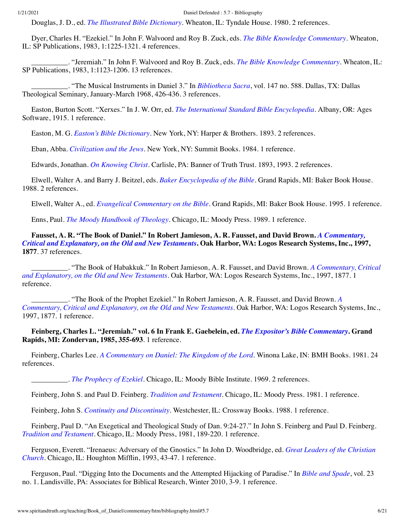<span id="page-5-3"></span>Douglas, J. D., ed. *[The Illustrated Bible Dictionary](http://www.spiritandtruth.org/id/isbn.htm?0842315667)*. Wheaton, IL: Tyndale House. 1980. 2 references.

Dyer, Charles H. "Ezekiel." In John F. Walvoord and Roy B. Zuck, eds. *[The Bible Knowledge Commentary](#page-17-0)*. Wheaton, IL: SP Publications, 1983, 1:1225-1321. 4 references.

\_\_\_\_\_\_\_\_\_\_. "Jeremiah." In John F. Walvoord and Roy B. Zuck, eds. *[The Bible Knowledge Commentary](#page-17-0)*. Wheaton, IL: SP Publications, 1983, 1:1123-1206. 13 references.

\_\_\_\_\_\_\_\_\_\_. "The Musical Instruments in Daniel 3." In *[Bibliotheca Sacra](#page-2-5)*, vol. 147 no. 588. Dallas, TX: Dallas Theological Seminary, January-March 1968, 426-436. 3 references.

Easton, Burton Scott. "Xerxes." In J. W. Orr, ed. *[The International Standard Bible Encyclopedia](#page-13-0)*. Albany, OR: Ages Software, 1915. 1 reference.

Easton, M. G. *[Easton's Bible Dictionary](http://www.amazon.com/gp/search/ref=sr_adv_b/?search-alias=stripbooks&unfiltered=1&field-title=Easton%E2%80%99s%20Bible%20Dictionary)*. New York, NY: Harper & Brothers. 1893. 2 references.

Eban, Abba. *[Civilization and the Jews](http://www.amazon.com/gp/search/ref=sr_adv_b/?search-alias=stripbooks&unfiltered=1&field-title=Civilization%20and%20the%20Jews)*. New York, NY: Summit Books. 1984. 1 reference.

Edwards, Jonathan. *[On Knowing Christ](http://www.spiritandtruth.org/id/isbn.htm?0851515835)*. Carlisle, PA: Banner of Truth Trust. 1893, 1993. 2 references.

Elwell, Walter A. and Barry J. Beitzel, eds. *[Baker Encyclopedia of the Bible](http://www.amazon.com/gp/search/ref=sr_adv_b/?search-alias=stripbooks&unfiltered=1&field-title=Baker%20Encyclopedia%20of%20the%20Bible)*. Grand Rapids, MI: Baker Book House. 1988. 2 references.

<span id="page-5-2"></span>Elwell, Walter A., ed. *[Evangelical Commentary on the Bible](http://www.amazon.com/gp/search/ref=sr_adv_b/?search-alias=stripbooks&unfiltered=1&field-title=Evangelical%20Commentary%20on%20the%20Bible)*. Grand Rapids, MI: Baker Book House. 1995. 1 reference.

Enns, Paul. *[The Moody Handbook of Theology](http://www.amazon.com/gp/search/ref=sr_adv_b/?search-alias=stripbooks&unfiltered=1&field-title=The%20Moody%20Handbook%20of%20Theology)*. Chicago, IL: Moody Press. 1989. 1 reference.

**[Fausset, A. R. "The Book of Daniel." In Robert Jamieson, A. R. Fausset, and David Brown.](#page-8-0)** *A Commentary, Critical and Explanatory, on the Old and New Testaments***. Oak Harbor, WA: Logos Research Systems, Inc., 1997, 1877**. 37 references.

[\\_\\_\\_\\_\\_\\_\\_\\_\\_\\_. "The Book of Habakkuk." In Robert Jamieson, A. R. Fausset, and David Brown.](#page-8-0) *A Commentary, Critical and Explanatory, on the Old and New Testaments*. Oak Harbor, WA: Logos Research Systems, Inc., 1997, 1877. 1 reference.

[\\_\\_\\_\\_\\_\\_\\_\\_\\_\\_. "The Book of the Prophet Ezekiel." In Robert Jamieson, A. R. Fausset, and David Brown.](#page-8-0) *A Commentary, Critical and Explanatory, on the Old and New Testaments*. Oak Harbor, WA: Logos Research Systems, Inc., 1997, 1877. 1 reference.

**Feinberg, Charles L. "Jeremiah." vol. 6 In Frank E. Gaebelein, ed.** *[The Expositor's Bible Commentary](#page-6-0)***. Grand Rapids, MI: Zondervan, 1985, 355-693**. 1 reference.

Feinberg, Charles Lee. *[A Commentary on Daniel: The Kingdom of the Lord](http://www.spiritandtruth.org/id/isbn.htm?0884691578)*. Winona Lake, IN: BMH Books. 1981. 24 references.

\_\_\_\_\_\_\_\_\_\_. *[The Prophecy of Ezekiel](http://www.spiritandtruth.org/id/isbn.htm?0802469086)*. Chicago, IL: Moody Bible Institute. 1969. 2 references.

<span id="page-5-0"></span>Feinberg, John S. and Paul D. Feinberg. *[Tradition and Testament](http://www.spiritandtruth.org/id/isbn.htm?0802425445)*. Chicago, IL: Moody Press. 1981. 1 reference.

<span id="page-5-1"></span>Feinberg, John S. *[Continuity and Discontinuity](http://www.amazon.com/gp/search/ref=sr_adv_b/?search-alias=stripbooks&unfiltered=1&field-title=Continuity%20and%20Discontinuity)*. Westchester, IL: Crossway Books. 1988. 1 reference.

Feinberg, Paul D. "An Exegetical and Theological Study of Dan. 9:24-27." In John S. Feinberg and Paul D. Feinberg. *[Tradition and Testament](#page-5-0)*. Chicago, IL: Moody Press, 1981, 189-220. 1 reference.

[Ferguson, Everett. "Irenaeus: Adversary of the Gnostics." In John D. Woodbridge, ed.](#page-19-0) *Great Leaders of the Christian Church*. Chicago, IL: Houghton Mifflin, 1993, 43-47. 1 reference.

Ferguson, Paul. "Digging Into the Documents and the Attempted Hijacking of Paradise." In *[Bible and Spade](#page-1-2)*, vol. 23 no. 1. Landisville, PA: Associates for Biblical Research, Winter 2010, 3-9. 1 reference.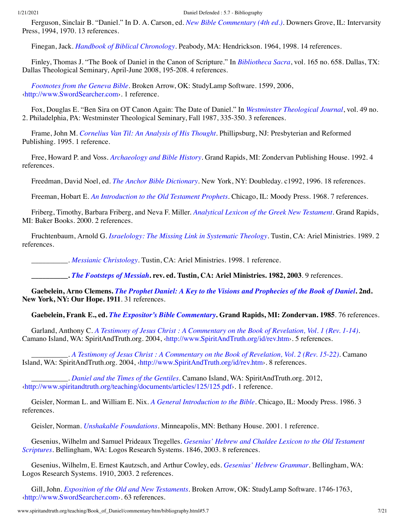Ferguson, Sinclair B. "Daniel." In D. A. Carson, ed. *[New Bible Commentary \(4th ed.\)](#page-3-0)*. Downers Grove, IL: Intervarsity Press, 1994, 1970. 13 references.

Finegan, Jack. *[Handbook of Biblical Chronology](http://www.spiritandtruth.org/id/isbn.htm?1565631439)*. Peabody, MA: Hendrickson. 1964, 1998. 14 references.

Finley, Thomas J. "The Book of Daniel in the Canon of Scripture." In *[Bibliotheca Sacra](#page-2-6)*, vol. 165 no. 658. Dallas, TX: Dallas Theological Seminary, April-June 2008, 195-208. 4 references.

*[Footnotes from the Geneva Bible](http://www.amazon.com/gp/search/ref=sr_adv_b/?search-alias=stripbooks&unfiltered=1&field-title=Footnotes%20from%20the%20Geneva%20Bible)*. Broken Arrow, OK: StudyLamp Software. 1599, 2006, [‹http://www.SwordSearcher.com›](http://www.swordsearcher.com/). 1 reference.

Fox, Douglas E. "Ben Sira on OT Canon Again: The Date of Daniel." In *[Westminster Theological Journal](#page-18-2)*, vol. 49 no. 2. Philadelphia, PA: Westminster Theological Seminary, Fall 1987, 335-350. 3 references.

Frame, John M. *[Cornelius Van Til: An Analysis of His Thought](http://www.spiritandtruth.org/id/isbn.htm?9780875522456)*. Phillipsburg, NJ: Presbyterian and Reformed Publishing. 1995. 1 reference.

Free, Howard P. and Voss. *[Archaeology and Bible History](http://www.spiritandtruth.org/id/isbn.htm?0310474614)*. Grand Rapids, MI: Zondervan Publishing House. 1992. 4 references.

<span id="page-6-1"></span>Freedman, David Noel, ed. *[The Anchor Bible Dictionary](http://www.amazon.com/gp/search/ref=sr_adv_b/?search-alias=stripbooks&unfiltered=1&field-title=The%20Anchor%20Bible%20Dictionary)*. New York, NY: Doubleday. c1992, 1996. 18 references.

Freeman, Hobart E. *[An Introduction to the Old Testament Prophets](http://www.amazon.com/gp/search/ref=sr_adv_b/?search-alias=stripbooks&unfiltered=1&field-title=An%20Introduction%20to%20the%20Old%20Testament%20Prophets)*. Chicago, IL: Moody Press. 1968. 7 references.

Friberg, Timothy, Barbara Friberg, and Neva F. Miller. *[Analytical Lexicon of the Greek New Testament](http://www.amazon.com/gp/search/ref=sr_adv_b/?search-alias=stripbooks&unfiltered=1&field-title=Analytical%20Lexicon%20of%20the%20Greek%20New%20Testament)*. Grand Rapids, MI: Baker Books. 2000. 2 references.

Fruchtenbaum, Arnold G. *[Israelology: The Missing Link in Systematic Theology](http://www.amazon.com/gp/search/ref=sr_adv_b/?search-alias=stripbooks&unfiltered=1&field-title=Israelology:%20The%20Missing%20Link%20in%20Systematic%20Theology)*. Tustin, CA: Ariel Ministries. 1989. 2 references.

\_\_\_\_\_\_\_\_\_\_. *[Messianic Christology](http://www.amazon.com/gp/search/ref=sr_adv_b/?search-alias=stripbooks&unfiltered=1&field-title=Messianic%20Christology)*. Tustin, CA: Ariel Ministries. 1998. 1 reference.

**\_\_\_\_\_\_\_\_\_\_.** *[The Footsteps of Messiah](http://www.spiritandtruth.org/id/isbn.htm?0914863096)***. rev. ed. Tustin, CA: Ariel Ministries. 1982, 2003**. 9 references.

**Gaebelein, Arno Clemens.** *[The Prophet Daniel: A Key to the Visions and Prophecies of the Book of Daniel](http://www.amazon.com/gp/search/ref=sr_adv_b/?search-alias=stripbooks&unfiltered=1&field-title=The%20Prophet%20Daniel:%20A%20Key%20to%20the%20Visions%20and%20Prophecies%20of%20the%20Book%20of%20Daniel)***. 2nd. New York, NY: Our Hope. 1911**. 31 references.

<span id="page-6-0"></span>**Gaebelein, Frank E., ed.** *[The Expositor's Bible Commentary](http://www.spiritandtruth.org/id/isbn.htm?0310364906)***. Grand Rapids, MI: Zondervan. 1985**. 76 references.

Garland, Anthony C. *[A Testimony of Jesus Christ : A Commentary on the Book of Revelation, Vol. 1 \(Rev. 1-14\)](http://www.spiritandtruth.org/id/isbn.htm?9780978886417)*. Camano Island, WA: SpiritAndTruth.org. 2004, [‹http://www.SpiritAndTruth.org/id/rev.htm](http://www.spiritandtruth.org/id/rev.htm)›. 5 references.

\_\_\_\_\_\_\_\_\_\_. *[A Testimony of Jesus Christ : A Commentary on the Book of Revelation, Vol. 2 \(Rev. 15-22\)](http://www.spiritandtruth.org/id/isbn.htm?9780978886424)*. Camano Island, WA: SpiritAndTruth.org. 2004, ‹[http://www.SpiritAndTruth.org/id/rev.htm›](http://www.spiritandtruth.org/id/rev.htm). 8 references.

\_\_\_\_\_\_\_\_\_\_. *[Daniel and the Times of the Gentiles](http://www.amazon.com/gp/search/ref=sr_adv_b/?search-alias=stripbooks&unfiltered=1&field-title=Daniel%20and%20the%20Times%20of%20the%20Gentiles)*. Camano Island, WA: SpiritAndTruth.org. 2012, [‹http://www.spiritandtruth.org/teaching/documents/articles/125/125.pdf›](http://www.spiritandtruth.org/teaching/documents/articles/125/125.pdf). 1 reference.

Geisler, Norman L. and William E. Nix. *[A General Introduction to the Bible](http://www.amazon.com/gp/search/ref=sr_adv_b/?search-alias=stripbooks&unfiltered=1&field-title=A%20General%20Introduction%20to%20the%20Bible)*. Chicago, IL: Moody Press. 1986. 3 references.

Geisler, Norman. *[Unshakable Foundations](http://www.spiritandtruth.org/id/isbn.htm?0764224085)*. Minneapolis, MN: Bethany House. 2001. 1 reference.

Gesenius, Wilhelm and Samuel Prideaux Tregelles. *Gesenius' Hebrew and Chaldee Lexicon to the Old Testament Scriptures*[. Bellingham, WA: Logos Research Systems. 1846, 2003. 8 references.](http://www.amazon.com/gp/search/ref=sr_adv_b/?search-alias=stripbooks&unfiltered=1&field-title=Gesenius%E2%80%99%20Hebrew%20and%20Chaldee%20Lexicon%20to%20the%20Old%20Testament%20Scriptures)

Gesenius, Wilhelm, E. Ernest Kautzsch, and Arthur Cowley, eds. *[Gesenius' Hebrew Grammar](http://www.amazon.com/gp/search/ref=sr_adv_b/?search-alias=stripbooks&unfiltered=1&field-title=Gesenius%E2%80%99%20Hebrew%20Grammar)*. Bellingham, WA: Logos Research Systems. 1910, 2003. 2 references.

Gill, John. *[Exposition of the Old and New Testaments](http://www.amazon.com/gp/search/ref=sr_adv_b/?search-alias=stripbooks&unfiltered=1&field-title=Exposition%20of%20the%20Old%20and%20New%20Testaments)*. Broken Arrow, OK: StudyLamp Software. 1746-1763, [‹http://www.SwordSearcher.com›](http://www.swordsearcher.com/). 63 references.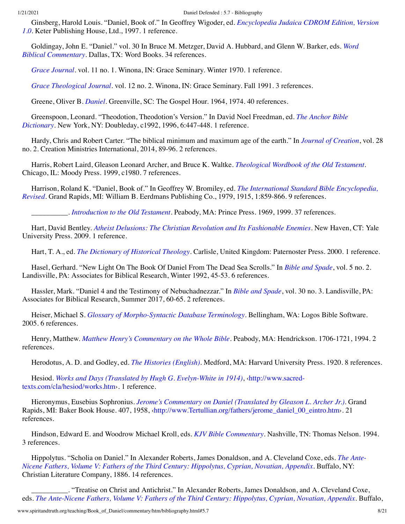[Ginsberg, Harold Louis. "Daniel, Book of." In Geoffrey Wigoder, ed.](#page-18-0) *Encyclopedia Judaica CDROM Edition, Version 1.0*. Keter Publishing House, Ltd., 1997. 1 reference.

[Goldingay, John E. "Daniel." vol. 30 In Bruce M. Metzger, David A. Hubbard, and Glenn W. Barker, eds.](#page-12-0) *Word Biblical Commentary*. Dallas, TX: Word Books. 34 references.

<span id="page-7-3"></span>*[Grace Journal](http://www.amazon.com/gp/search/ref=sr_adv_b/?search-alias=stripbooks&unfiltered=1&field-title=Grace%20Journal)*. vol. 11 no. 1. Winona, IN: Grace Seminary. Winter 1970. 1 reference.

<span id="page-7-2"></span>*[Grace Theological Journal](http://www.amazon.com/gp/search/ref=sr_adv_b/?search-alias=stripbooks&unfiltered=1&field-title=Grace%20Theological%20Journal)*. vol. 12 no. 2. Winona, IN: Grace Seminary. Fall 1991. 3 references.

Greene, Oliver B. *[Daniel](http://www.amazon.com/gp/search/ref=sr_adv_b/?search-alias=stripbooks&unfiltered=1&field-title=Daniel)*. Greenville, SC: The Gospel Hour. 1964, 1974. 40 references.

[Greenspoon, Leonard. "Theodotion, Theodotion's Version." In David Noel Freedman, ed.](#page-6-1) *The Anchor Bible Dictionary*. New York, NY: Doubleday, c1992, 1996, 6:447-448. 1 reference.

Hardy, Chris and Robert Carter. "The biblical minimum and maximum age of the earth." In *[Journal of Creation](#page-9-2)*, vol. 28 no. 2. Creation Ministries International, 2014, 89-96. 2 references.

Harris, Robert Laird, Gleason Leonard Archer, and Bruce K. Waltke. *[Theological Wordbook of the Old Testament](http://www.amazon.com/gp/search/ref=sr_adv_b/?search-alias=stripbooks&unfiltered=1&field-title=Theological%20Wordbook%20of%20the%20Old%20Testament)*. Chicago, IL: Moody Press. 1999, c1980. 7 references.

Harrison, Roland K. "Daniel, Book of." In Geoffrey W. Bromiley, ed. *The International Standard Bible Encyclopedia, Revised*[. Grand Rapids, MI: William B. Eerdmans Publishing Co., 1979, 1915, 1:859-866. 9 references.](#page-2-4)

\_\_\_\_\_\_\_\_\_\_. *[Introduction to the Old Testament](http://www.amazon.com/gp/search/ref=sr_adv_b/?search-alias=stripbooks&unfiltered=1&field-title=Introduction%20to%20the%20Old%20Testament)*. Peabody, MA: Prince Press. 1969, 1999. 37 references.

Hart, David Bentley. *[Atheist Delusions: The Christian Revolution and Its Fashionable Enemies](http://www.spiritandtruth.org/id/isbn.htm?9780300111903)*. New Haven, CT: Yale University Press. 2009. 1 reference.

<span id="page-7-1"></span>Hart, T. A., ed. *[The Dictionary of Historical Theology](http://www.amazon.com/gp/search/ref=sr_adv_b/?search-alias=stripbooks&unfiltered=1&field-title=The%20Dictionary%20of%20Historical%20Theology)*. Carlisle, United Kingdom: Paternoster Press. 2000. 1 reference.

Hasel, Gerhard. "New Light On The Book Of Daniel From The Dead Sea Scrolls." In *[Bible and Spade](#page-1-3)*, vol. 5 no. 2. Landisville, PA: Associates for Biblical Research, Winter 1992, 45-53. 6 references.

Hassler, Mark. "Daniel 4 and the Testimony of Nebuchadnezzar." In *[Bible and Spade](#page-2-7)*, vol. 30 no. 3. Landisville, PA: Associates for Biblical Research, Summer 2017, 60-65. 2 references.

Heiser, Michael S. *[Glossary of Morpho-Syntactic Database Terminology](http://www.amazon.com/gp/search/ref=sr_adv_b/?search-alias=stripbooks&unfiltered=1&field-title=Glossary%20of%20Morpho-Syntactic%20Database%20Terminology)*. Bellingham, WA: Logos Bible Software. 2005. 6 references.

Henry, Matthew. *[Matthew Henry's Commentary on the Whole Bible](http://www.amazon.com/gp/search/ref=sr_adv_b/?search-alias=stripbooks&unfiltered=1&field-title=Matthew%20Henry%E2%80%99s%20Commentary%20on%20the%20Whole%20Bible)*. Peabody, MA: Hendrickson. 1706-1721, 1994. 2 references.

Herodotus, A. D. and Godley, ed. *[The Histories \(English\)](http://www.amazon.com/gp/search/ref=sr_adv_b/?search-alias=stripbooks&unfiltered=1&field-title=The%20Histories%20(English))*. Medford, MA: Harvard University Press. 1920. 8 references.

Hesiod. *[Works and Days \(Translated by Hugh G. Evelyn-White in 1914\)](http://www.sacred-texts.com/cla/hesiod/works.htm)*, ‹http://www.sacredtexts.com/cla/hesiod/works.htm›. 1 reference.

Hieronymus, Eusebius Sophronius. *[Jerome's Commentary on Daniel \(Translated by Gleason L. Archer Jr.\)](http://www.amazon.com/gp/search/ref=sr_adv_b/?search-alias=stripbooks&unfiltered=1&field-title=Jerome%E2%80%99s%20Commentary%20on%20Daniel%20(Translated%20by%20Gleason%20L.%20Archer%20Jr.))*. Grand Rapids, MI: Baker Book House. 407, 1958, ‹[http://www.Tertullian.org/fathers/jerome\\_daniel\\_00\\_eintro.htm›](http://www.tertullian.org/fathers/jerome_daniel_00_eintro.htm). 21 references.

<span id="page-7-0"></span>Hindson, Edward E. and Woodrow Michael Kroll, eds. *[KJV Bible Commentary](http://www.amazon.com/gp/search/ref=sr_adv_b/?search-alias=stripbooks&unfiltered=1&field-title=KJV%20Bible%20Commentary)*. Nashville, TN: Thomas Nelson. 1994. 3 references.

[Hippolytus. "Scholia on Daniel." In Alexander Roberts, James Donaldson, and A. Cleveland Coxe, eds.](#page-14-3) *The Ante-Nicene Fathers, Volume V: Fathers of the Third Century: Hippolytus, Cyprian, Novatian, Appendix*. Buffalo, NY: Christian Literature Company, 1886. 14 references.

\_\_\_\_\_\_\_\_\_\_. "Treatise on Christ and Antichrist." In Alexander Roberts, James Donaldson, and A. Cleveland Coxe, eds. *[The Ante-Nicene Fathers, Volume V: Fathers of the Third Century: Hippolytus, Cyprian, Novatian, Appendix](#page-14-3)*. Buffalo,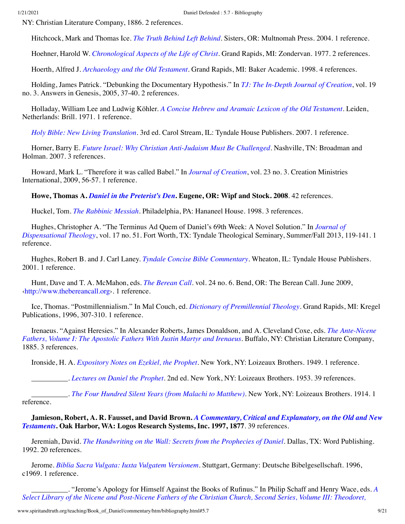NY: Christian Literature Company, 1886. 2 references.

Hitchcock, Mark and Thomas Ice. *[The Truth Behind Left Behind](http://www.amazon.com/gp/search/ref=sr_adv_b/?search-alias=stripbooks&unfiltered=1&field-title=The%20Truth%20Behind%20Left%20Behind)*. Sisters, OR: Multnomah Press. 2004. 1 reference.

Hoehner, Harold W. *[Chronological Aspects of the Life of Christ](http://www.spiritandtruth.org/id/isbn.htm?0310262119)*. Grand Rapids, MI: Zondervan. 1977. 2 references.

Hoerth, Alfred J. *[Archaeology and the Old Testament](http://www.spiritandtruth.org/id/isbn.htm?9780801011290)*. Grand Rapids, MI: Baker Academic. 1998. 4 references.

Holding, James Patrick. "Debunking the Documentary Hypothesis." In *[TJ: The In-Depth Journal of Creation](#page-16-0)*, vol. 19 no. 3. Answers in Genesis, 2005, 37-40. 2 references.

Holladay, William Lee and Ludwig Köhler. *[A Concise Hebrew and Aramaic Lexicon of the Old Testament](http://www.amazon.com/gp/search/ref=sr_adv_b/?search-alias=stripbooks&unfiltered=1&field-title=A%20Concise%20Hebrew%20and%20Aramaic%20Lexicon%20of%20the%20Old%20Testament)*. Leiden, Netherlands: Brill. 1971. 1 reference.

*[Holy Bible: New Living Translation](http://www.amazon.com/gp/search/ref=sr_adv_b/?search-alias=stripbooks&unfiltered=1&field-title=Holy%20Bible:%20New%20Living%20Translation)*. 3rd ed. Carol Stream, IL: Tyndale House Publishers. 2007. 1 reference.

Horner, Barry E. *[Future Israel: Why Christian Anti-Judaism Must Be Challenged](http://www.spiritandtruth.org/id/isbn.htm?9780805446272)*. Nashville, TN: Broadman and Holman. 2007. 3 references.

Howard, Mark L. "Therefore it was called Babel." In *[Journal of Creation](#page-9-3)*, vol. 23 no. 3. Creation Ministries International, 2009, 56-57. 1 reference.

**Howe, Thomas A.** *[Daniel in the Preterist's Den](http://www.spiritandtruth.org/id/isbn.htm?9781556352737)***. Eugene, OR: Wipf and Stock. 2008**. 42 references.

Huckel, Tom. *[The Rabbinic Messiah](http://www.amazon.com/gp/search/ref=sr_adv_b/?search-alias=stripbooks&unfiltered=1&field-title=The%20Rabbinic%20Messiah)*. Philadelphia, PA: Hananeel House. 1998. 3 references.

[Hughes, Christopher A. "The Terminus Ad Quem of Daniel's 69th Week: A Novel Solution." In](#page-9-4) *Journal of Dispensational Theology*, vol. 17 no. 51. Fort Worth, TX: Tyndale Theological Seminary, Summer/Fall 2013, 119-141. 1 reference.

Hughes, Robert B. and J. Carl Laney. *[Tyndale Concise Bible Commentary](http://www.amazon.com/gp/search/ref=sr_adv_b/?search-alias=stripbooks&unfiltered=1&field-title=Tyndale%20Concise%20Bible%20Commentary)*. Wheaton, IL: Tyndale House Publishers. 2001. 1 reference.

Hunt, Dave and T. A. McMahon, eds. *[The Berean Call](http://www.amazon.com/gp/search/ref=sr_adv_b/?search-alias=stripbooks&unfiltered=1&field-title=The%20Berean%20Call)*. vol. 24 no. 6. Bend, OR: The Berean Call. June 2009, [‹http://www.thebereancall.org›](http://www.thebereancall.org/). 1 reference.

Ice, Thomas. "Postmillennialism." In Mal Couch, ed. *[Dictionary of Premillennial Theology](#page-4-1)*. Grand Rapids, MI: Kregel Publications, 1996, 307-310. 1 reference.

[Irenaeus. "Against Heresies." In Alexander Roberts, James Donaldson, and A. Cleveland Coxe, eds.](#page-14-2) *The Ante-Nicene Fathers, Volume I: The Apostolic Fathers With Justin Martyr and Irenaeus*. Buffalo, NY: Christian Literature Company, 1885. 3 references.

Ironside, H. A. *[Expository Notes on Ezekiel, the Prophet](http://www.amazon.com/gp/search/ref=sr_adv_b/?search-alias=stripbooks&unfiltered=1&field-title=Expository%20Notes%20on%20Ezekiel,%20the%20Prophet)*. New York, NY: Loizeaux Brothers. 1949. 1 reference.

\_\_\_\_\_\_\_\_\_\_. *[Lectures on Daniel the Prophet](http://www.amazon.com/gp/search/ref=sr_adv_b/?search-alias=stripbooks&unfiltered=1&field-title=Lectures%20on%20Daniel%20the%20Prophet)*. 2nd ed. New York, NY: Loizeaux Brothers. 1953. 39 references.

\_\_\_\_\_\_\_\_\_\_. *[The Four Hundred Silent Years \(from Malachi to Matthew\)](http://www.amazon.com/gp/search/ref=sr_adv_b/?search-alias=stripbooks&unfiltered=1&field-title=The%20Four%20Hundred%20Silent%20Years%20(from%20Malachi%20to%20Matthew))*. New York, NY: Loizeaux Brothers. 1914. 1 reference.

<span id="page-8-0"></span>**Jamieson, Robert, A. R. Fausset, and David Brown.** *[A Commentary, Critical and Explanatory, on the Old and New](http://www.amazon.com/gp/search/ref=sr_adv_b/?search-alias=stripbooks&unfiltered=1&field-title=A%20Commentary,%20Critical%20and%20Explanatory,%20on%20the%20Old%20and%20New%20Testaments) Testaments***. Oak Harbor, WA: Logos Research Systems, Inc. 1997, 1877**. 39 references.

Jeremiah, David. *[The Handwriting on the Wall: Secrets from the Prophecies of Daniel](http://www.spiritandtruth.org/id/isbn.htm?084993365X)*. Dallas, TX: Word Publishing. 1992. 20 references.

Jerome. *[Biblia Sacra Vulgata: Iuxta Vulgatem Versionem](http://www.amazon.com/gp/search/ref=sr_adv_b/?search-alias=stripbooks&unfiltered=1&field-title=Biblia%20Sacra%20Vulgata:%20Iuxta%20Vulgatem%20Versionem)*. Stuttgart, Germany: Deutsche Bibelgesellschaft. 1996, c1969. 1 reference.

\_\_\_\_\_\_\_\_\_\_. "Jerome's Apology for Himself Against the Books of Rufinus." In Philip Schaff and Henry Wace, eds. *A [Select Library of the Nicene and Post-Nicene Fathers of the Christian Church, Second Series, Volume III: Theodoret,](#page-15-3)*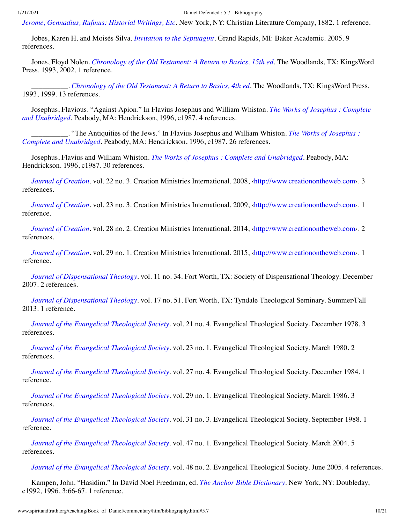*Jerome, Gennadius, Rufinus: Historial Writings, Etc*[. New York, NY: Christian Literature Company, 1882. 1 reference.](#page-15-3)

Jobes, Karen H. and Moisés Silva. *[Invitation to the Septuagint](http://www.spiritandtruth.org/id/isbn.htm?080103115X)*. Grand Rapids, MI: Baker Academic. 2005. 9 references.

Jones, Floyd Nolen. *[Chronology of the Old Testament: A Return to Basics, 15th ed](http://www.spiritandtruth.org/id/isbn.htm?0970032838)*. The Woodlands, TX: KingsWord Press. 1993, 2002. 1 reference.

\_\_\_\_\_\_\_\_\_\_. *[Chronology of the Old Testament: A Return to Basics, 4th ed](http://www.spiritandtruth.org/id/isbn.htm?097003282X)*. The Woodlands, TX: KingsWord Press. 1993, 1999. 13 references.

[Josephus, Flavious. "Against Apion." In Flavius Josephus and William Whiston.](#page-9-5) *The Works of Josephus : Complete and Unabridged*. Peabody, MA: Hendrickson, 1996, c1987. 4 references.

[\\_\\_\\_\\_\\_\\_\\_\\_\\_\\_. "The Antiquities of the Jews." In Flavius Josephus and William Whiston.](#page-9-5) *The Works of Josephus : Complete and Unabridged*. Peabody, MA: Hendrickson, 1996, c1987. 26 references.

<span id="page-9-5"></span>Josephus, Flavius and William Whiston. *[The Works of Josephus : Complete and Unabridged](http://www.amazon.com/gp/search/ref=sr_adv_b/?search-alias=stripbooks&unfiltered=1&field-title=The%20Works%20of%20Josephus%20:%20Complete%20and%20Unabridged)*. Peabody, MA: Hendrickson. 1996, c1987. 30 references.

<span id="page-9-0"></span>*[Journal of Creation](http://www.amazon.com/gp/search/ref=sr_adv_b/?search-alias=stripbooks&unfiltered=1&field-title=Journal%20of%20Creation)*. vol. 22 no. 3. Creation Ministries International. 2008, ‹[http://www.creationontheweb.com](http://www.creationontheweb.com/)›. 3 references.

<span id="page-9-3"></span>*[Journal of Creation](http://www.amazon.com/gp/search/ref=sr_adv_b/?search-alias=stripbooks&unfiltered=1&field-title=Journal%20of%20Creation)*. vol. 23 no. 3. Creation Ministries International. 2009,  $\frac{\text{http://www.creation on the web.com. 1}}{1}$ reference.

<span id="page-9-2"></span>*[Journal of Creation](http://www.amazon.com/gp/search/ref=sr_adv_b/?search-alias=stripbooks&unfiltered=1&field-title=Journal%20of%20Creation)*. vol. 28 no. 2. Creation Ministries International. 2014, ‹[http://www.creationontheweb.com](http://www.creationontheweb.com/)›. 2 references.

<span id="page-9-13"></span>*[Journal of Creation](http://www.amazon.com/gp/search/ref=sr_adv_b/?search-alias=stripbooks&unfiltered=1&field-title=Journal%20of%20Creation)*. vol. 29 no. 1. Creation Ministries International. 2015, ‹[http://www.creationontheweb.com](http://www.creationontheweb.com/)›. 1 reference.

<span id="page-9-6"></span>*[Journal of Dispensational Theology](http://www.amazon.com/gp/search/ref=sr_adv_b/?search-alias=stripbooks&unfiltered=1&field-title=Journal%20of%20Dispensational%20Theology)*. vol. 11 no. 34. Fort Worth, TX: Society of Dispensational Theology. December 2007. 2 references.

<span id="page-9-4"></span>*[Journal of Dispensational Theology](http://www.amazon.com/gp/search/ref=sr_adv_b/?search-alias=stripbooks&unfiltered=1&field-title=Journal%20of%20Dispensational%20Theology)*. vol. 17 no. 51. Fort Worth, TX: Tyndale Theological Seminary. Summer/Fall 2013. 1 reference.

<span id="page-9-7"></span>*[Journal of the Evangelical Theological Society](http://www.amazon.com/gp/search/ref=sr_adv_b/?search-alias=stripbooks&unfiltered=1&field-title=Journal%20of%20the%20Evangelical%20Theological%20Society)*. vol. 21 no. 4. Evangelical Theological Society. December 1978. 3 references.

<span id="page-9-10"></span>*[Journal of the Evangelical Theological Society](http://www.amazon.com/gp/search/ref=sr_adv_b/?search-alias=stripbooks&unfiltered=1&field-title=Journal%20of%20the%20Evangelical%20Theological%20Society)*. vol. 23 no. 1. Evangelical Theological Society. March 1980. 2 references.

<span id="page-9-1"></span>*[Journal of the Evangelical Theological Society](http://www.amazon.com/gp/search/ref=sr_adv_b/?search-alias=stripbooks&unfiltered=1&field-title=Journal%20of%20the%20Evangelical%20Theological%20Society)*. vol. 27 no. 4. Evangelical Theological Society. December 1984. 1 reference.

<span id="page-9-8"></span>*[Journal of the Evangelical Theological Society](http://www.amazon.com/gp/search/ref=sr_adv_b/?search-alias=stripbooks&unfiltered=1&field-title=Journal%20of%20the%20Evangelical%20Theological%20Society)*. vol. 29 no. 1. Evangelical Theological Society. March 1986. 3 references.

<span id="page-9-9"></span>*[Journal of the Evangelical Theological Society](http://www.amazon.com/gp/search/ref=sr_adv_b/?search-alias=stripbooks&unfiltered=1&field-title=Journal%20of%20the%20Evangelical%20Theological%20Society)*. vol. 31 no. 3. Evangelical Theological Society. September 1988. 1 reference.

<span id="page-9-12"></span>*[Journal of the Evangelical Theological Society](http://www.amazon.com/gp/search/ref=sr_adv_b/?search-alias=stripbooks&unfiltered=1&field-title=Journal%20of%20the%20Evangelical%20Theological%20Society)*. vol. 47 no. 1. Evangelical Theological Society. March 2004. 5 references.

<span id="page-9-11"></span>*[Journal of the Evangelical Theological Society](http://www.amazon.com/gp/search/ref=sr_adv_b/?search-alias=stripbooks&unfiltered=1&field-title=Journal%20of%20the%20Evangelical%20Theological%20Society)*. vol. 48 no. 2. Evangelical Theological Society. June 2005. 4 references.

Kampen, John. "Hasidim." In David Noel Freedman, ed. *[The Anchor Bible Dictionary](#page-6-1)*. New York, NY: Doubleday, c1992, 1996, 3:66-67. 1 reference.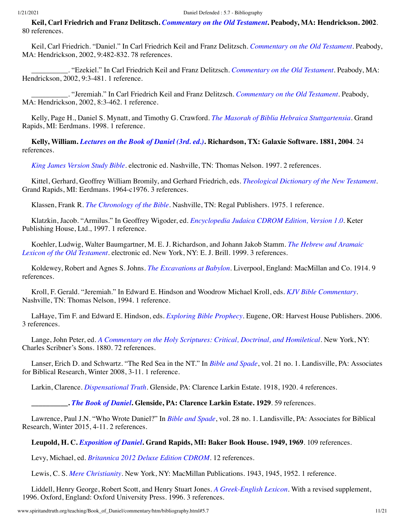<span id="page-10-2"></span>**Keil, Carl Friedrich and Franz Delitzsch.** *[Commentary on the Old Testament](http://www.amazon.com/gp/search/ref=sr_adv_b/?search-alias=stripbooks&unfiltered=1&field-title=Commentary%20on%20the%20Old%20Testament)***. Peabody, MA: Hendrickson. 2002**. 80 references.

Keil, Carl Friedrich. "Daniel." In Carl Friedrich Keil and Franz Delitzsch. *[Commentary on the Old Testament](#page-10-2)*. Peabody, MA: Hendrickson, 2002, 9:482-832. 78 references.

\_\_\_\_\_\_\_\_\_\_. "Ezekiel." In Carl Friedrich Keil and Franz Delitzsch. *[Commentary on the Old Testament](#page-10-2)*. Peabody, MA: Hendrickson, 2002, 9:3-481. 1 reference.

\_\_\_\_\_\_\_\_\_\_. "Jeremiah." In Carl Friedrich Keil and Franz Delitzsch. *[Commentary on the Old Testament](#page-10-2)*. Peabody, MA: Hendrickson, 2002, 8:3-462. 1 reference.

Kelly, Page H., Daniel S. Mynatt, and Timothy G. Crawford. *[The Masorah of Biblia Hebraica Stuttgartensia](http://www.spiritandtruth.org/id/isbn.htm?0802843638)*. Grand Rapids, MI: Eerdmans. 1998. 1 reference.

**Kelly, William.** *[Lectures on the Book of Daniel \(3rd. ed.\)](http://www.amazon.com/gp/search/ref=sr_adv_b/?search-alias=stripbooks&unfiltered=1&field-title=Lectures%20on%20the%20Book%20of%20Daniel%20(3rd.%20ed.))***. Richardson, TX: Galaxie Software. 1881, 2004**. 24 references.

*[King James Version Study Bible](http://www.amazon.com/gp/search/ref=sr_adv_b/?search-alias=stripbooks&unfiltered=1&field-title=King%20James%20Version%20Study%20Bible)*. electronic ed. Nashville, TN: Thomas Nelson. 1997. 2 references.

<span id="page-10-1"></span>Kittel, Gerhard, Geoffrey William Bromily, and Gerhard Friedrich, eds. *[Theological Dictionary of the New Testament](http://www.amazon.com/gp/search/ref=sr_adv_b/?search-alias=stripbooks&unfiltered=1&field-title=Theological%20Dictionary%20of%20the%20New%20Testament)*. Grand Rapids, MI: Eerdmans. 1964-c1976. 3 references.

Klassen, Frank R. *[The Chronology of the Bible](http://www.amazon.com/gp/search/ref=sr_adv_b/?search-alias=stripbooks&unfiltered=1&field-title=The%20Chronology%20of%20the%20Bible)*. Nashville, TN: Regal Publishers. 1975. 1 reference.

Klatzkin, Jacob. "Armilus." In Geoffrey Wigoder, ed. *[Encyclopedia Judaica CDROM Edition, Version 1.0](#page-18-0)*. Keter Publishing House, Ltd., 1997. 1 reference.

[Koehler, Ludwig, Walter Baumgartner, M. E. J. Richardson, and Johann Jakob Stamm.](http://www.amazon.com/gp/search/ref=sr_adv_b/?search-alias=stripbooks&unfiltered=1&field-title=The%20Hebrew%20and%20Aramaic%20Lexicon%20of%20the%20Old%20Testament) *The Hebrew and Aramaic Lexicon of the Old Testament*. electronic ed. New York, NY: E. J. Brill. 1999. 3 references.

Koldewey, Robert and Agnes S. Johns. *[The Excavations at Babylon](http://www.amazon.com/gp/search/ref=sr_adv_b/?search-alias=stripbooks&unfiltered=1&field-title=The%20Excavations%20at%20Babylon)*. Liverpool, England: MacMillan and Co. 1914. 9 references.

Kroll, F. Gerald. "Jeremiah." In Edward E. Hindson and Woodrow Michael Kroll, eds. *[KJV Bible Commentary](#page-7-0)*. Nashville, TN: Thomas Nelson, 1994. 1 reference.

<span id="page-10-3"></span>LaHaye, Tim F. and Edward E. Hindson, eds. *[Exploring Bible Prophecy](http://www.spiritandtruth.org/id/isbn.htm?9780736948036)*. Eugene, OR: Harvest House Publishers. 2006. 3 references.

<span id="page-10-0"></span>Lange, John Peter, ed. *[A Commentary on the Holy Scriptures: Critical, Doctrinal, and Homiletical](http://www.amazon.com/gp/search/ref=sr_adv_b/?search-alias=stripbooks&unfiltered=1&field-title=A%20Commentary%20on%20the%20Holy%20Scriptures:%20Critical,%20Doctrinal,%20and%20Homiletical)*. New York, NY: Charles Scribner's Sons. 1880. 72 references.

Lanser, Erich D. and Schwartz. "The Red Sea in the NT." In *[Bible and Spade](#page-1-4)*, vol. 21 no. 1. Landisville, PA: Associates for Biblical Research, Winter 2008, 3-11. 1 reference.

Larkin, Clarence. *[Dispensational Truth](http://www.amazon.com/gp/search/ref=sr_adv_b/?search-alias=stripbooks&unfiltered=1&field-title=Dispensational%20Truth)*. Glenside, PA: Clarence Larkin Estate. 1918, 1920. 4 references.

**\_\_\_\_\_\_\_\_\_\_.** *[The Book of Daniel](http://www.amazon.com/gp/search/ref=sr_adv_b/?search-alias=stripbooks&unfiltered=1&field-title=The%20Book%20of%20Daniel)***. Glenside, PA: Clarence Larkin Estate. 1929**. 59 references.

Lawrence, Paul J.N. "Who Wrote Daniel?" In *[Bible and Spade](#page-2-8)*, vol. 28 no. 1. Landisville, PA: Associates for Biblical Research, Winter 2015, 4-11. 2 references.

## **Leupold, H. C.** *[Exposition of Daniel](http://www.amazon.com/gp/search/ref=sr_adv_b/?search-alias=stripbooks&unfiltered=1&field-title=Exposition%20of%20Daniel)***. Grand Rapids, MI: Baker Book House. 1949, 1969**. 109 references.

Levy, Michael, ed. *[Britannica 2012 Deluxe Edition CDROM](http://www.amazon.com/gp/search/ref=sr_adv_b/?search-alias=stripbooks&unfiltered=1&field-title=Britannica%202012%20Deluxe%20Edition%20CDROM)*. 12 references.

Lewis, C. S. *[Mere Christianity](http://www.amazon.com/gp/search/ref=sr_adv_b/?search-alias=stripbooks&unfiltered=1&field-title=Mere%20Christianity)*. New York, NY: MacMillan Publications. 1943, 1945, 1952. 1 reference.

Liddell, Henry George, Robert Scott, and Henry Stuart Jones. *[A Greek-English Lexicon](http://www.amazon.com/gp/search/ref=sr_adv_b/?search-alias=stripbooks&unfiltered=1&field-title=A%20Greek-English%20Lexicon)*. With a revised supplement, 1996. Oxford, England: Oxford University Press. 1996. 3 references.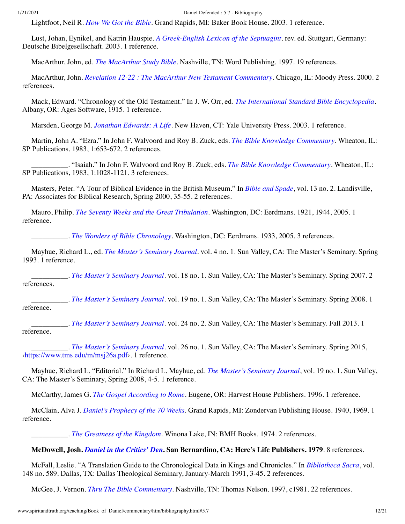Lightfoot, Neil R. *[How We Got the Bible](http://www.spiritandtruth.org/id/isbn.htm?080101252X)*. Grand Rapids, MI: Baker Book House. 2003. 1 reference.

Lust, Johan, Eynikel, and Katrin Hauspie. *[A Greek-English Lexicon of the Septuagint](http://www.amazon.com/gp/search/ref=sr_adv_b/?search-alias=stripbooks&unfiltered=1&field-title=A%20Greek-English%20Lexicon%20of%20the%20Septuagint)*. rev. ed. Stuttgart, Germany: Deutsche Bibelgesellschaft. 2003. 1 reference.

MacArthur, John, ed. *[The MacArthur Study Bible](http://www.amazon.com/gp/search/ref=sr_adv_b/?search-alias=stripbooks&unfiltered=1&field-title=The%20MacArthur%20Study%20Bible)*. Nashville, TN: Word Publishing. 1997. 19 references.

MacArthur, John. *[Revelation 12-22 : The MacArthur New Testament Commentary](http://www.amazon.com/gp/search/ref=sr_adv_b/?search-alias=stripbooks&unfiltered=1&field-title=Revelation%2012-22%20:%20The%20MacArthur%20New%20Testament%20Commentary)*. Chicago, IL: Moody Press. 2000. 2 references.

Mack, Edward. "Chronology of the Old Testament." In J. W. Orr, ed. *[The International Standard Bible Encyclopedia](#page-13-0)*. Albany, OR: Ages Software, 1915. 1 reference.

Marsden, George M. *[Jonathan Edwards: A Life](http://www.spiritandtruth.org/id/isbn.htm?0300096933)*. New Haven, CT: Yale University Press. 2003. 1 reference.

Martin, John A. "Ezra." In John F. Walvoord and Roy B. Zuck, eds. *[The Bible Knowledge Commentary](#page-17-0)*. Wheaton, IL: SP Publications, 1983, 1:653-672. 2 references.

\_\_\_\_\_\_\_\_\_\_. "Isaiah." In John F. Walvoord and Roy B. Zuck, eds. *[The Bible Knowledge Commentary](#page-17-0)*. Wheaton, IL: SP Publications, 1983, 1:1028-1121. 3 references.

Masters, Peter. "A Tour of Biblical Evidence in the British Museum." In *[Bible and Spade](#page-1-5)*, vol. 13 no. 2. Landisville, PA: Associates for Biblical Research, Spring 2000, 35-55. 2 references.

Mauro, Philip. *[The Seventy Weeks and the Great Tribulation](http://www.amazon.com/gp/search/ref=sr_adv_b/?search-alias=stripbooks&unfiltered=1&field-title=The%20Seventy%20Weeks%20and%20the%20Great%20Tribulation)*. Washington, DC: Eerdmans. 1921, 1944, 2005. 1 reference.

\_\_\_\_\_\_\_\_\_\_. *[The Wonders of Bible Chronology](http://www.amazon.com/gp/search/ref=sr_adv_b/?search-alias=stripbooks&unfiltered=1&field-title=The%20Wonders%20of%20Bible%20Chronology)*. Washington, DC: Eerdmans. 1933, 2005. 3 references.

<span id="page-11-0"></span>Mayhue, Richard L., ed. *[The Master's Seminary Journal](http://www.amazon.com/gp/search/ref=sr_adv_b/?search-alias=stripbooks&unfiltered=1&field-title=The%20Master%E2%80%99s%20Seminary%20Journal)*. vol. 4 no. 1. Sun Valley, CA: The Master's Seminary. Spring 1993. 1 reference.

<span id="page-11-4"></span>\_\_\_\_\_\_\_\_\_\_. *[The Master's Seminary Journal](http://www.amazon.com/gp/search/ref=sr_adv_b/?search-alias=stripbooks&unfiltered=1&field-title=The%20Master%E2%80%99s%20Seminary%20Journal)*. vol. 18 no. 1. Sun Valley, CA: The Master's Seminary. Spring 2007. 2 references.

<span id="page-11-1"></span>\_\_\_\_\_\_\_\_\_\_. *[The Master's Seminary Journal](http://www.amazon.com/gp/search/ref=sr_adv_b/?search-alias=stripbooks&unfiltered=1&field-title=The%20Master%E2%80%99s%20Seminary%20Journal)*. vol. 19 no. 1. Sun Valley, CA: The Master's Seminary. Spring 2008. 1 reference.

<span id="page-11-2"></span>\_\_\_\_\_\_\_\_\_\_. *[The Master's Seminary Journal](http://www.amazon.com/gp/search/ref=sr_adv_b/?search-alias=stripbooks&unfiltered=1&field-title=The%20Master%E2%80%99s%20Seminary%20Journal)*. vol. 24 no. 2. Sun Valley, CA: The Master's Seminary. Fall 2013. 1 reference.

<span id="page-11-3"></span>\_\_\_\_\_\_\_\_\_\_. *[The Master's Seminary Journal](http://www.amazon.com/gp/search/ref=sr_adv_b/?search-alias=stripbooks&unfiltered=1&field-title=The%20Master%E2%80%99s%20Seminary%20Journal)*. vol. 26 no. 1. Sun Valley, CA: The Master's Seminary. Spring 2015, [‹https://www.tms.edu/m/msj26a.pdf›](https://www.tms.edu/m/msj26a.pdf). 1 reference.

Mayhue, Richard L. "Editorial." In Richard L. Mayhue, ed. *[The Master's Seminary Journal](#page-11-1)*, vol. 19 no. 1. Sun Valley, CA: The Master's Seminary, Spring 2008, 4-5. 1 reference.

McCarthy, James G. *[The Gospel According to Rome](http://www.amazon.com/gp/search/ref=sr_adv_b/?search-alias=stripbooks&unfiltered=1&field-title=The%20Gospel%20According%20to%20Rome)*. Eugene, OR: Harvest House Publishers. 1996. 1 reference.

McClain, Alva J. *[Daniel's Prophecy of the 70 Weeks](http://www.amazon.com/gp/search/ref=sr_adv_b/?search-alias=stripbooks&unfiltered=1&field-title=Daniel%E2%80%99s%20Prophecy%20of%20the%2070%20Weeks)*. Grand Rapids, MI: Zondervan Publishing House. 1940, 1969. 1 reference.

\_\_\_\_\_\_\_\_\_\_. *[The Greatness of the Kingdom](http://www.spiritandtruth.org/id/isbn.htm?0884690113)*. Winona Lake, IN: BMH Books. 1974. 2 references.

## **McDowell, Josh.** *[Daniel in the Critics' Den](http://www.spiritandtruth.org/id/isbn.htm?0018956447)***. San Bernardino, CA: Here's Life Publishers. 1979**. 8 references.

McFall, Leslie. "A Translation Guide to the Chronological Data in Kings and Chronicles." In *[Bibliotheca Sacra](#page-2-9)*, vol. 148 no. 589. Dallas, TX: Dallas Theological Seminary, January-March 1991, 3-45. 2 references.

McGee, J. Vernon. *[Thru The Bible Commentary](http://www.amazon.com/gp/search/ref=sr_adv_b/?search-alias=stripbooks&unfiltered=1&field-title=Thru%20The%20Bible%20Commentary)*. Nashville, TN: Thomas Nelson. 1997, c1981. 22 references.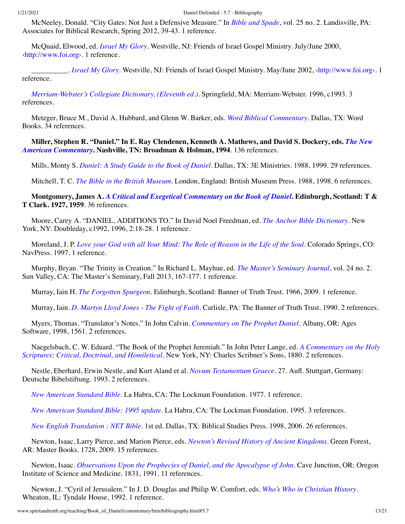McNeeley, Donald. "City Gates: Not Just a Defensive Measure." In *[Bible and Spade](#page-1-6)*, vol. 25 no. 2. Landisville, PA: Associates for Biblical Research, Spring 2012, 39-43. 1 reference.

McQuaid, Elwood, ed. *[Israel My Glory](http://www.amazon.com/gp/search/ref=sr_adv_b/?search-alias=stripbooks&unfiltered=1&field-title=Israel%20My%20Glory)*. Westville, NJ: Friends of Israel Gospel Ministry. July/June 2000, [‹http://www.foi.org](http://www.foi.org/)›. 1 reference.

\_\_\_\_\_\_\_\_\_\_. *[Israel My Glory](http://www.amazon.com/gp/search/ref=sr_adv_b/?search-alias=stripbooks&unfiltered=1&field-title=Israel%20My%20Glory)*. Westville, NJ: Friends of Israel Gospel Ministry. May/June 2002, [‹http://www.foi.org›](http://www.foi.org/). 1 reference.

*[Merriam-Webster's Collegiate Dictionary, \(Eleventh ed.\)](http://www.amazon.com/gp/search/ref=sr_adv_b/?search-alias=stripbooks&unfiltered=1&field-title=Merriam-Webster%E2%80%99s%20Collegiate%20Dictionary,%20(Eleventh%20ed.))*. Springfield, MA: Merriam-Webster. 1996, c1993. 3 references.

<span id="page-12-0"></span>Metzger, Bruce M., David A. Hubbard, and Glenn W. Barker, eds. *[Word Biblical Commentary](http://www.amazon.com/gp/search/ref=sr_adv_b/?search-alias=stripbooks&unfiltered=1&field-title=Word%20Biblical%20Commentary)*. Dallas, TX: Word Books. 34 references.

**[Miller, Stephen R. "Daniel." In E. Ray Clendenen, Kenneth A. Mathews, and David S. Dockery, eds.](#page-3-1)** *The New American Commentary***. Nashville, TN: Broadman & Holman, 1994**. 136 references.

Mills, Monty S. *[Daniel: A Study Guide to the Book of Daniel](http://www.amazon.com/gp/search/ref=sr_adv_b/?search-alias=stripbooks&unfiltered=1&field-title=Daniel:%20A%20Study%20Guide%20to%20the%20Book%20of%20Daniel)*. Dallas, TX: 3E Ministries. 1988, 1999. 29 references.

Mitchell, T. C. *[The Bible in the British Museum](http://www.spiritandtruth.org/id/isbn.htm?071411698X)*. London, England: British Museum Press. 1988, 1998. 6 references.

**Montgomery, James A.** *[A Critical and Exegetical Commentary on the Book of Daniel](http://www.amazon.com/gp/search/ref=sr_adv_b/?search-alias=stripbooks&unfiltered=1&field-title=A%20Critical%20and%20Exegetical%20Commentary%20on%20the%20Book%20of%20Daniel)***. Edinburgh, Scotland: T & T Clark. 1927, 1959**. 36 references.

Moore, Carey A. "DANIEL, ADDITIONS TO." In David Noel Freedman, ed. *[The Anchor Bible Dictionary](#page-6-1)*. New York, NY: Doubleday, c1992, 1996, 2:18-28. 1 reference.

Moreland, J. P. *[Love your God with all Your Mind: The Role of Reason in the Life of the Soul](http://www.amazon.com/gp/search/ref=sr_adv_b/?search-alias=stripbooks&unfiltered=1&field-title=Love%20your%20God%20with%20all%20Your%20Mind:%20The%20Role%20of%20Reason%20in%20the%20Life%20of%20the%20Soul)*. Colorado Springs, CO: NavPress. 1997. 1 reference.

Murphy, Bryan. "The Trinity in Creation." In Richard L. Mayhue, ed. *[The Master's Seminary Journal](#page-11-2)*, vol. 24 no. 2. Sun Valley, CA: The Master's Seminary, Fall 2013, 167-177. 1 reference.

Murray, Iain H. *[The Forgotten Spurgeon](http://www.spiritandtruth.org/id/isbn.htm?9781848710115)*. Edinburgh, Scotland: Banner of Truth Trust. 1966, 2009. 1 reference.

Murray, Iain. *[D. Martyn Lloyd Jones - The Fight of Faith](http://www.spiritandtruth.org/id/isbn.htm?0851515640)*. Carlisle, PA: The Banner of Truth Trust. 1990. 2 references.

Myers, Thomas. "Translator's Notes." In John Calvin. *[Commentary on The Prophet Daniel](#page-3-2)*. Albany, OR: Ages Software, 1998, 1561. 2 references.

[Naegelsbach, C. W. Eduard. "The Book of the Prophet Jeremiah." In John Peter Lange, ed.](#page-10-0) *A Commentary on the Holy Scriptures: Critical, Doctrinal, and Homiletical*. New York, NY: Charles Scribner's Sons, 1880. 2 references.

Nestle, Eberhard, Erwin Nestle, and Kurt Aland et al. *[Novum Testamentum Graece](http://www.spiritandtruth.org/id/isbn.htm?3438051036)*. 27. Aufl. Stuttgart, Germany: Deutsche Bibelstiftung. 1993. 2 references.

*[New American Standard Bible](http://www.amazon.com/gp/search/ref=sr_adv_b/?search-alias=stripbooks&unfiltered=1&field-title=New%20American%20Standard%20Bible)*. La Habra, CA: The Lockman Foundation. 1977. 1 reference.

*[New American Standard Bible: 1995 update](http://www.amazon.com/gp/search/ref=sr_adv_b/?search-alias=stripbooks&unfiltered=1&field-title=New%20American%20Standard%20Bible:%201995%20update)*. La Habra, CA: The Lockman Foundation. 1995. 3 references.

*[New English Translation : NET Bible](http://www.amazon.com/gp/search/ref=sr_adv_b/?search-alias=stripbooks&unfiltered=1&field-title=New%20English%20Translation%20:%20NET%20Bible)*. 1st ed. Dallas, TX: Biblical Studies Press. 1998, 2006. 26 references.

Newton, Isaac, Larry Pierce, and Marion Pierce, eds. *[Newton's Revised History of Ancient Kingdoms](http://www.spiritandtruth.org/id/isbn.htm?9780890515563)*. Green Forest, AR: Master Books. 1728, 2009. 15 references.

Newton, Isaac. *[Observations Upon the Prophecies of Daniel, and the Apocalypse of John](http://www.spiritandtruth.org/id/isbn.htm?0942487028)*. Cave Junction, OR: Oregon Institute of Science and Medicine. 1831, 1991. 11 references.

Newton, J. "Cyril of Jerusalem." In J. D. Douglas and Philip W. Comfort, eds. *[Who's Who in Christian History](#page-4-2)*. Wheaton, IL: Tyndale House, 1992. 1 reference.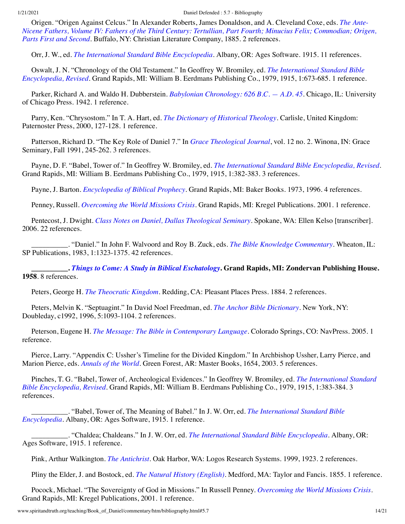Origen. "Origen Against Celcus." In Alexander Roberts, James Donaldson, and A. Cleveland Coxe, eds. *The Ante-[Nicene Fathers, Volume IV: Fathers of the Third Century: Tertullian, Part Fourth; Minucius Felix; Commodian; Origen,](#page-14-4) Parts First and Second*. Buffalo, NY: Christian Literature Company, 1885. 2 references.

<span id="page-13-0"></span>Orr, J. W., ed. *[The International Standard Bible Encyclopedia](http://www.amazon.com/gp/search/ref=sr_adv_b/?search-alias=stripbooks&unfiltered=1&field-title=The%20International%20Standard%20Bible%20Encyclopedia)*. Albany, OR: Ages Software. 1915. 11 references.

Oswalt, J. N. "Chronology of the Old Testament." In Geoffrey W. Bromiley, ed. *The International Standard Bible Encyclopedia, Revised*[. Grand Rapids, MI: William B. Eerdmans Publishing Co., 1979, 1915, 1:673-685. 1 reference](#page-2-4).

Parker, Richard A. and Waldo H. Dubberstein. *[Babylonian Chronology: 626 B.C. — A.D. 45](http://www.amazon.com/gp/search/ref=sr_adv_b/?search-alias=stripbooks&unfiltered=1&field-title=Babylonian%20Chronology:%20626%20B.C.%20%E2%80%94%20A.D.%2045)*. Chicago, IL: University of Chicago Press. 1942. 1 reference.

Parry, Ken. "Chrysostom." In T. A. Hart, ed. *[The Dictionary of Historical Theology](#page-7-1)*. Carlisle, United Kingdom: Paternoster Press, 2000, 127-128. 1 reference.

Patterson, Richard D. "The Key Role of Daniel 7." In *[Grace Theological Journal](#page-7-2)*, vol. 12 no. 2. Winona, IN: Grace Seminary, Fall 1991, 245-262. 3 references.

Payne, D. F. "Babel, Tower of." In Geoffrey W. Bromiley, ed. *[The International Standard Bible Encyclopedia, Revised](#page-2-4)*. Grand Rapids, MI: William B. Eerdmans Publishing Co., 1979, 1915, 1:382-383. 3 references.

Payne, J. Barton. *[Encyclopedia of Biblical Prophecy](http://www.spiritandtruth.org/id/isbn.htm?0801070511)*. Grand Rapids, MI: Baker Books. 1973, 1996. 4 references.

<span id="page-13-1"></span>Penney, Russell. *[Overcoming the World Missions Crisis](http://www.spiritandtruth.org/id/isbn.htm?0825434661)*. Grand Rapids, MI: Kregel Publications. 2001. 1 reference.

Pentecost, J. Dwight. *[Class Notes on Daniel, Dallas Theological Seminary](http://www.amazon.com/gp/search/ref=sr_adv_b/?search-alias=stripbooks&unfiltered=1&field-title=Class%20Notes%20on%20Daniel,%20Dallas%20Theological%20Seminary)*. Spokane, WA: Ellen Kelso [transcriber]. 2006. 22 references.

\_\_\_\_\_\_\_\_\_\_. "Daniel." In John F. Walvoord and Roy B. Zuck, eds. *[The Bible Knowledge Commentary](#page-17-0)*. Wheaton, IL: SP Publications, 1983, 1:1323-1375. 42 references.

**\_\_\_\_\_\_\_\_\_\_.** *[Things to Come: A Study in Biblical Eschatology](http://www.amazon.com/gp/search/ref=sr_adv_b/?search-alias=stripbooks&unfiltered=1&field-title=Things%20to%20Come:%20A%20Study%20in%20Biblical%20Eschatology)***. Grand Rapids, MI: Zondervan Publishing House. 1958**. 8 references.

Peters, George H. *[The Theocratic Kingdom](http://www.amazon.com/gp/search/ref=sr_adv_b/?search-alias=stripbooks&unfiltered=1&field-title=The%20Theocratic%20Kingdom)*. Redding, CA: Pleasant Places Press. 1884. 2 references.

Peters, Melvin K. "Septuagint." In David Noel Freedman, ed. *[The Anchor Bible Dictionary](#page-6-1)*. New York, NY: Doubleday, c1992, 1996, 5:1093-1104. 2 references.

Peterson, Eugene H. *[The Message: The Bible in Contemporary Language](http://www.amazon.com/gp/search/ref=sr_adv_b/?search-alias=stripbooks&unfiltered=1&field-title=The%20Message:%20The%20Bible%20in%20Contemporary%20Language)*. Colorado Springs, CO: NavPress. 2005. 1 reference.

Pierce, Larry. "Appendix C: Ussher's Timeline for the Divided Kingdom." In Archbishop Ussher, Larry Pierce, and Marion Pierce, eds. *[Annals of the World](#page-17-1)*. Green Forest, AR: Master Books, 1654, 2003. 5 references.

[Pinches, T. G. "Babel, Tower of, Archeological Evidences." In Geoffrey W. Bromiley, ed.](#page-2-4) *The International Standard Bible Encyclopedia, Revised*. Grand Rapids, MI: William B. Eerdmans Publishing Co., 1979, 1915, 1:383-384. 3 references.

[\\_\\_\\_\\_\\_\\_\\_\\_\\_\\_. "Babel, Tower of, The Meaning of Babel." In J. W. Orr, ed.](#page-13-0) *The International Standard Bible Encyclopedia*. Albany, OR: Ages Software, 1915. 1 reference.

\_\_\_\_\_\_\_\_\_\_. "Chaldea; Chaldeans." In J. W. Orr, ed. *[The International Standard Bible Encyclopedia](#page-13-0)*. Albany, OR: Ages Software, 1915. 1 reference.

Pink, Arthur Walkington. *[The Antichrist](http://www.amazon.com/gp/search/ref=sr_adv_b/?search-alias=stripbooks&unfiltered=1&field-title=The%20Antichrist)*. Oak Harbor, WA: Logos Research Systems. 1999, 1923. 2 references.

Pliny the Elder, J. and Bostock, ed. *[The Natural History \(English\)](http://www.amazon.com/gp/search/ref=sr_adv_b/?search-alias=stripbooks&unfiltered=1&field-title=The%20Natural%20History%20(English))*. Medford, MA: Taylor and Fancis. 1855. 1 reference.

Pocock, Michael. "The Sovereignty of God in Missions." In Russell Penney. *[Overcoming the World Missions Crisis](#page-13-1)*. Grand Rapids, MI: Kregel Publications, 2001. 1 reference.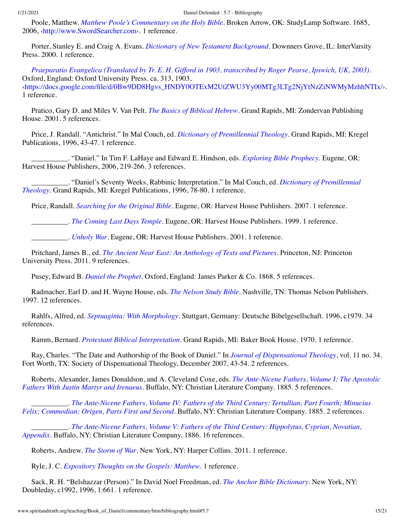Poole, Matthew. *[Matthew Poole's Commentary on the Holy Bible](http://www.amazon.com/gp/search/ref=sr_adv_b/?search-alias=stripbooks&unfiltered=1&field-title=Matthew%20Poole%E2%80%99s%20Commentary%20on%20the%20Holy%20Bible)*. Broken Arrow, OK: StudyLamp Software. 1685, 2006, ‹[http://www.SwordSearcher.com›](http://www.swordsearcher.com/). 1 reference.

<span id="page-14-1"></span>Porter, Stanley E. and Craig A. Evans. *[Dictionary of New Testament Background](http://www.amazon.com/gp/search/ref=sr_adv_b/?search-alias=stripbooks&unfiltered=1&field-title=Dictionary%20of%20New%20Testament%20Background)*. Downners Grove, IL: InterVarsity Press. 2000. 1 reference.

*[Praeparatio Evangelica \(Translated by Tr. E. H. Gifford in 1903, transcribed by Roger Pearse, Ipswich, UK, 2003\)](http://www.amazon.com/gp/search/ref=sr_adv_b/?search-alias=stripbooks&unfiltered=1&field-title=Praeparatio%20Evangelica%20(Translated%20by%20Tr.%20E.%20H.%20Gifford%20in%201903,%20transcribed%20by%20Roger%20Pearse,%20Ipswich,%20UK,%202003))*. Oxford, England: Oxford University Press. ca. 313, 1903, [‹https://docs.google.com/file/d/0Bw9DD8Hgvs\\_HNDY0OTExM2UtZWU3Yy00MTg3LTg2NjYtNzZiNWMyMzhhNTIx/›](https://docs.google.com/file/d/0Bw9DD8Hgvs_HNDY0OTExM2UtZWU3Yy00MTg3LTg2NjYtNzZiNWMyMzhhNTIx/). 1 reference.

Pratico, Gary D. and Miles V. Van Pelt. *[The Basics of Biblical Hebrew](http://www.spiritandtruth.org/id/isbn.htm?0310237602)*. Grand Rapids, MI: Zondervan Publishing House. 2001. 5 references.

Price, J. Randall. "Antichrist." In Mal Couch, ed. *[Dictionary of Premillennial Theology](#page-4-1)*. Grand Rapids, MI: Kregel Publications, 1996, 43-47. 1 reference.

\_\_\_\_\_\_\_\_\_\_. "Daniel." In Tim F. LaHaye and Edward E. Hindson, eds. *[Exploring Bible Prophecy](#page-10-3)*. Eugene, OR: Harvest House Publishers, 2006, 219-266. 3 references.

[\\_\\_\\_\\_\\_\\_\\_\\_\\_\\_. "Daniel's Seventy Weeks, Rabbinic Interpretation." In Mal Couch, ed.](#page-4-1) *Dictionary of Premillennial Theology*. Grand Rapids, MI: Kregel Publications, 1996, 78-80. 1 reference.

Price, Randall. *[Searching for the Original Bible](http://www.spiritandtruth.org/id/isbn.htm?9780736910545)*. Eugene, OR: Harvest House Publishers. 2007. 1 reference.

\_\_\_\_\_\_\_\_\_\_. *[The Coming Last Days Temple](http://www.spiritandtruth.org/id/isbn.htm?1565079019)*. Eugene, OR: Harvest House Publishers. 1999. 1 reference.

\_\_\_\_\_\_\_\_\_\_. *[Unholy War](http://www.spiritandtruth.org/id/isbn.htm?9780736908238)*. Eugene, OR: Harvest House Publishers. 2001. 1 reference.

Pritchard, James B., ed. *[The Ancient Near East: An Anthology of Texts and Pictures](http://www.spiritandtruth.org/id/isbn.htm?9780691147260)*. Princeton, NJ: Princeton University Press. 2011. 9 references.

Pusey, Edward B. *[Daniel the Prophet](http://www.amazon.com/gp/search/ref=sr_adv_b/?search-alias=stripbooks&unfiltered=1&field-title=Daniel%20the%20Prophet)*. Oxford, England: James Parker & Co. 1868. 5 references.

Radmacher, Earl D. and H. Wayne House, eds. *[The Nelson Study Bible](http://www.amazon.com/gp/search/ref=sr_adv_b/?search-alias=stripbooks&unfiltered=1&field-title=The%20Nelson%20Study%20Bible)*. Nashville, TN: Thomas Nelson Publishers. 1997. 12 references.

<span id="page-14-0"></span>Rahlfs, Alfred, ed. *[Septuaginta: With Morphology](http://www.amazon.com/gp/search/ref=sr_adv_b/?search-alias=stripbooks&unfiltered=1&field-title=Septuaginta:%20With%20Morphology)*. Stuttgart, Germany: Deutsche Bibelgesellschaft. 1996, c1979. 34 references.

Ramm, Bernard. *[Protestant Biblical Interpretation](http://www.spiritandtruth.org/id/isbn.htm?0801065005)*. Grand Rapids, MI: Baker Book House. 1970. 1 reference.

Ray, Charles. "The Date and Authorship of the Book of Daniel." In *[Journal of Dispensational Theology](#page-9-6)*, vol. 11 no. 34. Fort Worth, TX: Society of Dispensational Theology, December 2007, 43-54. 2 references.

<span id="page-14-2"></span>[Roberts, Alexander, James Donaldson, and A. Cleveland Coxe, eds.](http://www.amazon.com/gp/search/ref=sr_adv_b/?search-alias=stripbooks&unfiltered=1&field-title=The%20Ante-Nicene%20Fathers,%20Volume%20I:%20The%20Apostolic%20Fathers%20With%20Justin%20Martyr%20and%20Irenaeus) *The Ante-Nicene Fathers, Volume I: The Apostolic Fathers With Justin Martyr and Irenaeus*. Buffalo, NY: Christian Literature Company. 1885. 5 references.

<span id="page-14-4"></span>\_\_\_\_\_\_\_\_\_\_. *[The Ante-Nicene Fathers, Volume IV: Fathers of the Third Century: Tertullian, Part Fourth; Minucius](http://www.amazon.com/gp/search/ref=sr_adv_b/?search-alias=stripbooks&unfiltered=1&field-title=The%20Ante-Nicene%20Fathers,%20Volume%20IV:%20Fathers%20of%20the%20Third%20Century:%20Tertullian,%20Part%20Fourth;%20Minucius%20Felix;%20Commodian;%20Origen,%20Parts%20First%20and%20Second) Felix; Commodian; Origen, Parts First and Second*. Buffalo, NY: Christian Literature Company. 1885. 2 references.

<span id="page-14-3"></span>\_\_\_\_\_\_\_\_\_\_. *[The Ante-Nicene Fathers, Volume V: Fathers of the Third Century: Hippolytus, Cyprian, Novatian,](http://www.amazon.com/gp/search/ref=sr_adv_b/?search-alias=stripbooks&unfiltered=1&field-title=The%20Ante-Nicene%20Fathers,%20Volume%20V:%20Fathers%20of%20the%20Third%20Century:%20Hippolytus,%20Cyprian,%20Novatian,%20Appendix) Appendix*. Buffalo, NY: Christian Literature Company. 1886. 16 references.

Roberts, Andrew. *[The Storm of War](http://www.spiritandtruth.org/id/isbn.htm?9780061228599)*. New York, NY: Harper Collins. 2011. 1 reference.

Ryle, J. C. *[Expository Thoughts on the Gospels: Matthew](http://www.amazon.com/gp/search/ref=sr_adv_b/?search-alias=stripbooks&unfiltered=1&field-title=Expository%20Thoughts%20on%20the%20Gospels:%20Matthew)*. 1 reference.

Sack, R. H. "Belshazzar (Person)." In David Noel Freedman, ed. *[The Anchor Bible Dictionary](#page-6-1)*. New York, NY: Doubleday, c1992, 1996, 1:661. 1 reference.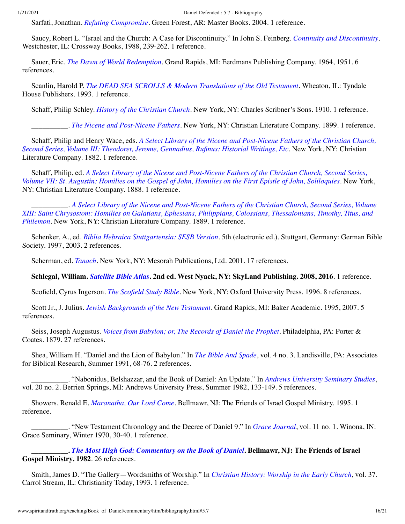Sarfati, Jonathan. *[Refuting Compromise](http://www.spiritandtruth.org/id/isbn.htm?0890514119)*. Green Forest, AR: Master Books. 2004. 1 reference.

Saucy, Robert L. "Israel and the Church: A Case for Discontinuity." In John S. Feinberg. *[Continuity and Discontinuity](#page-5-1)*. Westchester, IL: Crossway Books, 1988, 239-262. 1 reference.

Sauer, Eric. *[The Dawn of World Redemption](http://www.spiritandtruth.org/id/isbn.htm?0802811744)*. Grand Rapids, MI: Eerdmans Publishing Company. 1964, 1951. 6 references.

Scanlin, Harold P. *[The DEAD SEA SCROLLS & Modern Translations of the Old Testament](http://www.spiritandtruth.org/id/isbn.htm?0%E2%80%938423%E2%80%931010%E2%80%93X)*. Wheaton, IL: Tyndale House Publishers. 1993. 1 reference.

<span id="page-15-1"></span>Schaff, Philip Schley. *[History of the Christian Church](http://www.amazon.com/gp/search/ref=sr_adv_b/?search-alias=stripbooks&unfiltered=1&field-title=History%20of%20the%20Christian%20Church)*. New York, NY: Charles Scribner's Sons. 1910. 1 reference.

\_\_\_\_\_\_\_\_\_\_. *[The Nicene and Post-Nicene Fathers](http://www.amazon.com/gp/search/ref=sr_adv_b/?search-alias=stripbooks&unfiltered=1&field-title=The%20Nicene%20and%20Post-Nicene%20Fathers)*. New York, NY: Christian Literature Company. 1899. 1 reference.

<span id="page-15-3"></span>Schaff, Philip and Henry Wace, eds. *A Select Library of the Nicene and Post-Nicene Fathers of the Christian Church, [Second Series, Volume III: Theodoret, Jerome, Gennadius, Rufinus: Historial Writings, Etc](http://www.amazon.com/gp/search/ref=sr_adv_b/?search-alias=stripbooks&unfiltered=1&field-title=A%20Select%20Library%20of%20the%20Nicene%20and%20Post-Nicene%20Fathers%20of%20the%20Christian%20Church,%20Second%20Series,%20Volume%20III:%20Theodoret,%20Jerome,%20Gennadius,%20Rufinus:%20Historial%20Writings,%20Etc)*. New York, NY: Christian Literature Company. 1882. 1 reference.

<span id="page-15-2"></span>Schaff, Philip, ed. *A Select Library of the Nicene and Post-Nicene Fathers of the Christian Church, Second Series, [Volume VII: St. Augustin: Homilies on the Gospel of John, Homilies on the First Epistle of John, Soliloquies](http://www.amazon.com/gp/search/ref=sr_adv_b/?search-alias=stripbooks&unfiltered=1&field-title=A%20Select%20Library%20of%20the%20Nicene%20and%20Post-Nicene%20Fathers%20of%20the%20Christian%20Church,%20Second%20Series,%20Volume%20VII:%20St.%20Augustin:%20Homilies%20on%20the%20Gospel%20of%20John,%20Homilies%20on%20the%20First%20Epistle%20of%20John,%20Soliloquies)*. New York, NY: Christian Literature Company. 1888. 1 reference.

<span id="page-15-0"></span>\_\_\_\_\_\_\_\_\_\_. *A Select Library of the Nicene and Post-Nicene Fathers of the Christian Church, Second Series, Volume [XIII: Saint Chrysostom: Homilies on Galatians, Ephesians, Philippians, Colossians, Thessalonians, Timothy, Titus, and](http://www.amazon.com/gp/search/ref=sr_adv_b/?search-alias=stripbooks&unfiltered=1&field-title=A%20Select%20Library%20of%20the%20Nicene%20and%20Post-Nicene%20Fathers%20of%20the%20Christian%20Church,%20Second%20Series,%20Volume%20XIII:%20Saint%20Chrysostom:%20Homilies%20on%20Galatians,%20Ephesians,%20Philippians,%20Colossians,%20Thessalonians,%20Timothy,%20Titus,%20and%20Philemon) Philemon*. New York, NY: Christian Literature Company. 1889. 1 reference.

Schenker, A., ed. *[Biblia Hebraica Stuttgartensia: SESB Version](http://www.amazon.com/gp/search/ref=sr_adv_b/?search-alias=stripbooks&unfiltered=1&field-title=Biblia%20Hebraica%20Stuttgartensia:%20SESB%20Version)*. 5th (electronic ed.). Stuttgart, Germany: German Bible Society. 1997, 2003. 2 references.

Scherman, ed. *[Tanach](http://www.amazon.com/gp/search/ref=sr_adv_b/?search-alias=stripbooks&unfiltered=1&field-title=Tanach)*. New York, NY: Mesorah Publications, Ltd. 2001. 17 references.

**Schlegal, William.** *[Satellite Bible Atlas](http://www.spiritandtruth.org/id/isbn.htm?9780988427525)***. 2nd ed. West Nyack, NY: SkyLand Publishing. 2008, 2016**. 1 reference.

Scofield, Cyrus Ingerson. *[The Scofield Study Bible](http://www.amazon.com/gp/search/ref=sr_adv_b/?search-alias=stripbooks&unfiltered=1&field-title=The%20Scofield%20Study%20Bible)*. New York, NY: Oxford University Press. 1996. 8 references.

Scott Jr., J. Julius. *[Jewish Backgrounds of the New Testament](http://www.spiritandtruth.org/id/isbn.htm?9760801022401)*. Grand Rapids, MI: Baker Academic. 1995, 2007. 5 references.

Seiss, Joseph Augustus. *[Voices from Babylon; or, The Records of Daniel the Prophet](http://www.amazon.com/gp/search/ref=sr_adv_b/?search-alias=stripbooks&unfiltered=1&field-title=Voices%20from%20Babylon;%20or,%20The%20Records%20of%20Daniel%20the%20Prophet)*. Philadelphia, PA: Porter & Coates. 1879. 27 references.

Shea, William H. "Daniel and the Lion of Babylon." In *[The Bible And Spade](#page-16-1)*, vol. 4 no. 3. Landisville, PA: Associates for Biblical Research, Summer 1991, 68-76. 2 references.

\_\_\_\_\_\_\_\_\_\_. "Nabonidus, Belshazzar, and the Book of Daniel: An Update." In *[Andrews University Seminary Studies](#page-0-1)*, vol. 20 no. 2. Berrien Springs, MI: Andrews University Press, Summer 1982, 133-149. 5 references.

Showers, Renald E. *[Maranatha, Our Lord Come](http://www.amazon.com/gp/search/ref=sr_adv_b/?search-alias=stripbooks&unfiltered=1&field-title=Maranatha,%20Our%20Lord%20Come)*. Bellmawr, NJ: The Friends of Israel Gospel Ministry. 1995. 1 reference.

\_\_\_\_\_\_\_\_\_\_. "New Testament Chronology and the Decree of Daniel 9." In *[Grace Journal](#page-7-3)*, vol. 11 no. 1. Winona, IN: Grace Seminary, Winter 1970, 30-40. 1 reference.

**\_\_\_\_\_\_\_\_\_\_.** *[The Most High God: Commentary on the Book of Daniel](http://www.spiritandtruth.org/id/isbn.htm?09115540304)***. Bellmawr, NJ: The Friends of Israel Gospel Ministry. 1982**. 26 references.

Smith, James D. "The Gallery—Wordsmiths of Worship." In *[Christian History: Worship in the Early Church](#page-3-3)*, vol. 37. Carrol Stream, IL: Christianity Today, 1993. 1 reference.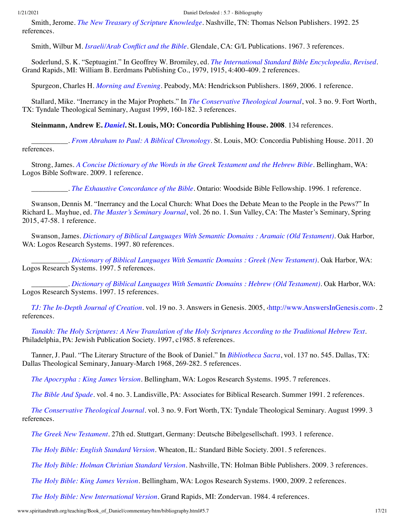Smith, Jerome. *[The New Treasury of Scripture Knowledge](http://www.amazon.com/gp/search/ref=sr_adv_b/?search-alias=stripbooks&unfiltered=1&field-title=The%20New%20Treasury%20of%20Scripture%20Knowledge)*. Nashville, TN: Thomas Nelson Publishers. 1992. 25 references.

Smith, Wilbur M. *[Israeli/Arab Conflict and the Bible](http://www.amazon.com/gp/search/ref=sr_adv_b/?search-alias=stripbooks&unfiltered=1&field-title=Israeli/Arab%20Conflict%20and%20the%20Bible)*. Glendale, CA: G/L Publications. 1967. 3 references.

Soderlund, S. K. "Septuagint." In Geoffrey W. Bromiley, ed. *[The International Standard Bible Encyclopedia, Revised](#page-2-4)*. Grand Rapids, MI: William B. Eerdmans Publishing Co., 1979, 1915, 4:400-409. 2 references.

Spurgeon, Charles H. *[Morning and Evening](http://www.amazon.com/gp/search/ref=sr_adv_b/?search-alias=stripbooks&unfiltered=1&field-title=Morning%20and%20Evening)*. Peabody, MA: Hendrickson Publishers. 1869, 2006. 1 reference.

Stallard, Mike. "Inerrancy in the Major Prophets." In *[The Conservative Theological Journal](#page-16-2)*, vol. 3 no. 9. Fort Worth, TX: Tyndale Theological Seminary, August 1999, 160-182. 3 references.

**Steinmann, Andrew E.** *[Daniel](http://www.spiritandtruth.org/id/isbn.htm?9780758606952)***. St. Louis, MO: Concordia Publishing House. 2008**. 134 references.

\_\_\_\_\_\_\_\_\_\_. *[From Abraham to Paul: A Biblical Chronology](http://www.spiritandtruth.org/id/isbn.htm?9780758627995)*. St. Louis, MO: Concordia Publishing House. 2011. 20 references.

Strong, James. *[A Concise Dictionary of the Words in the Greek Testament and the Hebrew Bible](http://www.amazon.com/gp/search/ref=sr_adv_b/?search-alias=stripbooks&unfiltered=1&field-title=A%20Concise%20Dictionary%20of%20the%20Words%20in%20the%20Greek%20Testament%20and%20the%20Hebrew%20Bible)*. Bellingham, WA: Logos Bible Software. 2009. 1 reference.

\_\_\_\_\_\_\_\_\_\_. *[The Exhaustive Concordance of the Bible](http://www.amazon.com/gp/search/ref=sr_adv_b/?search-alias=stripbooks&unfiltered=1&field-title=The%20Exhaustive%20Concordance%20of%20the%20Bible)*. Ontario: Woodside Bible Fellowship. 1996. 1 reference.

Swanson, Dennis M. "Inerrancy and the Local Church: What Does the Debate Mean to the People in the Pews?" In Richard L. Mayhue, ed. *[The Master's Seminary Journal](#page-11-3)*, vol. 26 no. 1. Sun Valley, CA: The Master's Seminary, Spring 2015, 47-58. 1 reference.

Swanson, James. *[Dictionary of Biblical Languages With Semantic Domains : Aramaic \(Old Testament\)](http://www.amazon.com/gp/search/ref=sr_adv_b/?search-alias=stripbooks&unfiltered=1&field-title=Dictionary%20of%20Biblical%20Languages%20With%20Semantic%20Domains%20:%20Aramaic%20(Old%20Testament))*. Oak Harbor, WA: Logos Research Systems. 1997. 80 references.

\_\_\_\_\_\_\_\_\_\_. *[Dictionary of Biblical Languages With Semantic Domains : Greek \(New Testament\)](http://www.amazon.com/gp/search/ref=sr_adv_b/?search-alias=stripbooks&unfiltered=1&field-title=Dictionary%20of%20Biblical%20Languages%20With%20Semantic%20Domains%20:%20Greek%20(New%20Testament))*. Oak Harbor, WA: Logos Research Systems. 1997. 5 references.

\_\_\_\_\_\_\_\_\_\_. *[Dictionary of Biblical Languages With Semantic Domains : Hebrew \(Old Testament\)](http://www.amazon.com/gp/search/ref=sr_adv_b/?search-alias=stripbooks&unfiltered=1&field-title=Dictionary%20of%20Biblical%20Languages%20With%20Semantic%20Domains%20:%20Hebrew%20(Old%20Testament))*. Oak Harbor, WA: Logos Research Systems. 1997. 15 references.

<span id="page-16-0"></span>*[TJ: The In-Depth Journal of Creation](http://www.amazon.com/gp/search/ref=sr_adv_b/?search-alias=stripbooks&unfiltered=1&field-title=TJ:%20The%20In-Depth%20Journal%20of%20Creation)*. vol. 19 no. 3. Answers in Genesis. 2005, [‹http://www.AnswersInGenesis.com](http://www.answersingenesis.com/)›. 2 references.

*[Tanakh: The Holy Scriptures: A New Translation of the Holy Scriptures According to the Traditional Hebrew Text](http://www.amazon.com/gp/search/ref=sr_adv_b/?search-alias=stripbooks&unfiltered=1&field-title=Tanakh:%20The%20Holy%20Scriptures:%20A%20New%20Translation%20of%20the%20Holy%20Scriptures%20According%20to%20the%20Traditional%20Hebrew%20Text)*. Philadelphia, PA: Jewish Publication Society. 1997, c1985. 8 references.

Tanner, J. Paul. "The Literary Structure of the Book of Daniel." In *[Bibliotheca Sacra](#page-2-10)*, vol. 137 no. 545. Dallas, TX: Dallas Theological Seminary, January-March 1968, 269-282. 5 references.

*[The Apocrypha : King James Version](http://www.amazon.com/gp/search/ref=sr_adv_b/?search-alias=stripbooks&unfiltered=1&field-title=The%20Apocrypha%20:%20King%20James%20Version)*. Bellingham, WA: Logos Research Systems. 1995. 7 references.

<span id="page-16-1"></span>*[The Bible And Spade](http://www.amazon.com/gp/search/ref=sr_adv_b/?search-alias=stripbooks&unfiltered=1&field-title=The%20Bible%20And%20Spade)*. vol. 4 no. 3. Landisville, PA: Associates for Biblical Research. Summer 1991. 2 references.

<span id="page-16-2"></span>*[The Conservative Theological Journal](http://www.amazon.com/gp/search/ref=sr_adv_b/?search-alias=stripbooks&unfiltered=1&field-title=The%20Conservative%20Theological%20Journal)*. vol. 3 no. 9. Fort Worth, TX: Tyndale Theological Seminary. August 1999. 3 references.

*[The Greek New Testament](http://www.amazon.com/gp/search/ref=sr_adv_b/?search-alias=stripbooks&unfiltered=1&field-title=The%20Greek%20New%20Testament)*. 27th ed. Stuttgart, Germany: Deutsche Bibelgesellschaft. 1993. 1 reference.

*[The Holy Bible: English Standard Version](http://www.amazon.com/gp/search/ref=sr_adv_b/?search-alias=stripbooks&unfiltered=1&field-title=The%20Holy%20Bible:%20English%20Standard%20Version)*. Wheaton, IL: Standard Bible Society. 2001. 5 references.

*[The Holy Bible: Holman Christian Standard Version](http://www.amazon.com/gp/search/ref=sr_adv_b/?search-alias=stripbooks&unfiltered=1&field-title=The%20Holy%20Bible:%20Holman%20Christian%20Standard%20Version)*. Nashville, TN: Holman Bible Publishers. 2009. 3 references.

*[The Holy Bible: King James Version](http://www.amazon.com/gp/search/ref=sr_adv_b/?search-alias=stripbooks&unfiltered=1&field-title=The%20Holy%20Bible:%20King%20James%20Version)*. Bellingham, WA: Logos Research Systems. 1900, 2009. 2 references.

*[The Holy Bible: New International Version](http://www.amazon.com/gp/search/ref=sr_adv_b/?search-alias=stripbooks&unfiltered=1&field-title=The%20Holy%20Bible:%20New%20International%20Version)*. Grand Rapids, MI: Zondervan. 1984. 4 references.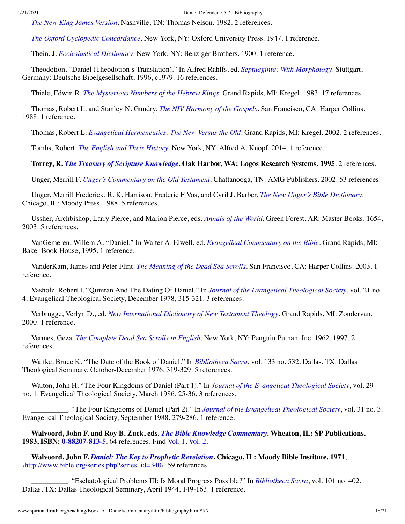*[The New King James Version](http://www.amazon.com/gp/search/ref=sr_adv_b/?search-alias=stripbooks&unfiltered=1&field-title=The%20New%20King%20James%20Version)*. Nashville, TN: Thomas Nelson. 1982. 2 references.

*[The Oxford Cyclopedic Concordance](http://www.amazon.com/gp/search/ref=sr_adv_b/?search-alias=stripbooks&unfiltered=1&field-title=The%20Oxford%20Cyclopedic%20Concordance)*. New York, NY: Oxford University Press. 1947. 1 reference.

Thein, J. *[Ecclesiastical Dictionary](http://www.amazon.com/gp/search/ref=sr_adv_b/?search-alias=stripbooks&unfiltered=1&field-title=Ecclesiastical%20Dictionary)*. New York, NY: Benziger Brothers. 1900. 1 reference.

Theodotion. "Daniel (Theodotion's Translation)." In Alfred Rahlfs, ed. *[Septuaginta: With Morphology](#page-14-0)*. Stuttgart, Germany: Deutsche Bibelgesellschaft, 1996, c1979. 16 references.

Thiele, Edwin R. *[The Mysterious Numbers of the Hebrew Kings](http://www.spiritandtruth.org/id/isbn.htm?082543825X)*. Grand Rapids, MI: Kregel. 1983. 17 references.

Thomas, Robert L. and Stanley N. Gundry. *[The NIV Harmony of the Gospels](http://www.spiritandtruth.org/id/isbn.htm?0060635231)*. San Francisco, CA: Harper Collins. 1988. 1 reference.

Thomas, Robert L. *[Evangelical Hermeneutics: The New Versus the Old](http://www.spiritandtruth.org/id/isbn.htm?082543839X)*. Grand Rapids, MI: Kregel. 2002. 2 references.

Tombs, Robert. *[The English and Their History](http://www.spiritandtruth.org/id/isbn.htm?9781101874776)*. New York, NY: Alfred A. Knopf. 2014. 1 reference.

**Torrey, R.** *[The Treasury of Scripture Knowledge](http://www.amazon.com/gp/search/ref=sr_adv_b/?search-alias=stripbooks&unfiltered=1&field-title=The%20Treasury%20of%20Scripture%20Knowledge)***. Oak Harbor, WA: Logos Research Systems. 1995**. 2 references.

Unger, Merrill F. *[Unger's Commentary on the Old Testament](http://www.spiritandtruth.org/id/isbn.htm?0899574157)*. Chattanooga, TN: AMG Publishers. 2002. 53 references.

Unger, Merrill Frederick, R. K. Harrison, Frederic F Vos, and Cyril J. Barber. *[The New Unger's Bible Dictionary](http://www.amazon.com/gp/search/ref=sr_adv_b/?search-alias=stripbooks&unfiltered=1&field-title=The%20New%20Unger%E2%80%99s%20Bible%20Dictionary)*. Chicago, IL: Moody Press. 1988. 5 references.

<span id="page-17-1"></span>Ussher, Archbishop, Larry Pierce, and Marion Pierce, eds. *[Annals of the World](http://www.spiritandtruth.org/id/isbn.htm?0890513600)*. Green Forest, AR: Master Books. 1654, 2003. 5 references.

VanGemeren, Willem A. "Daniel." In Walter A. Elwell, ed. *[Evangelical Commentary on the Bible](#page-5-2)*. Grand Rapids, MI: Baker Book House, 1995. 1 reference.

VanderKam, James and Peter Flint. *[The Meaning of the Dead Sea Scrolls](http://www.spiritandtruth.org/id/isbn.htm?006068464X)*. San Francisco, CA: Harper Collins. 2003. 1 reference.

Vasholz, Robert I. "Qumran And The Dating Of Daniel." In *[Journal of the Evangelical Theological Society](#page-9-7)*, vol. 21 no. 4. Evangelical Theological Society, December 1978, 315-321. 3 references.

Verbrugge, Verlyn D., ed. *[New International Dictionary of New Testament Theology](http://www.spiritandtruth.org/id/isbn.htm?0310256208)*. Grand Rapids, MI: Zondervan. 2000. 1 reference.

Vermes, Geza. *[The Complete Dead Sea Scrolls in English](http://www.spiritandtruth.org/id/isbn.htm?0713991313)*. New York, NY: Penguin Putnam Inc. 1962, 1997. 2 references.

Waltke, Bruce K. "The Date of the Book of Daniel." In *[Bibliotheca Sacra](#page-2-11)*, vol. 133 no. 532. Dallas, TX: Dallas Theological Seminary, October-December 1976, 319-329. 5 references.

Walton, John H. "The Four Kingdoms of Daniel (Part 1)." In *[Journal of the Evangelical Theological Society](#page-9-8)*, vol. 29 no. 1. Evangelical Theological Society, March 1986, 25-36. 3 references.

\_\_\_\_\_\_\_\_\_\_. "The Four Kingdoms of Daniel (Part 2)." In *[Journal of the Evangelical Theological Society](#page-9-9)*, vol. 31 no. 3. Evangelical Theological Society, September 1988, 279-286. 1 reference.

<span id="page-17-0"></span>**Walvoord, John F. and Roy B. Zuck, eds.** *[The Bible Knowledge Commentary](http://www.spiritandtruth.org/id/isbn.htm?0882078135)***. Wheaton, IL: SP Publications. 1983, ISBN: [0-88207-813-5](http://www.spiritandtruth.org/id/isbn.htm?0882078135)**. 64 references. Find [Vol. 1,](http://www.spiritandtruth.org/id/isbn.htm?0882078135) [Vol. 2.](http://www.spiritandtruth.org/id/isbn.htm?0882078127)

**Walvoord, John F.** *[Daniel: The Key to Prophetic Revelation](http://www.spiritandtruth.org/id/isbn.htm?0802417523)***. Chicago, IL: Moody Bible Institute. 1971**, [‹http://www.bible.org/series.php?series\\_id=340](http://www.bible.org/series.php?series_id=340)›. 59 references.

\_\_\_\_\_\_\_\_\_\_. "Eschatological Problems III: Is Moral Progress Possible?" In *[Bibliotheca Sacra](#page-2-12)*, vol. 101 no. 402. Dallas, TX: Dallas Theological Seminary, April 1944, 149-163. 1 reference.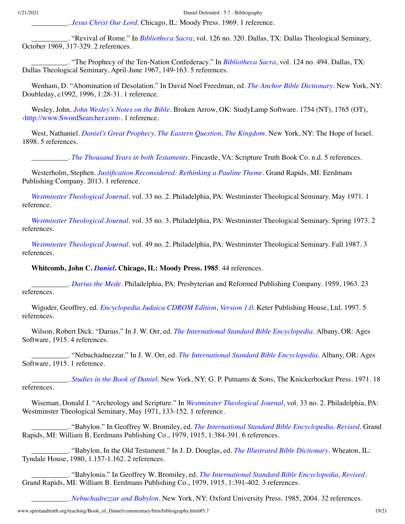\_\_\_\_\_\_\_\_\_\_. *[Jesus Christ Our Lord](http://www.spiritandtruth.org/id/isbn.htm?0802443265)*. Chicago, IL: Moody Press. 1969. 1 reference.

\_\_\_\_\_\_\_\_\_\_. "Revival of Rome." In *[Bibliotheca Sacra](#page-2-13)*, vol. 126 no. 320. Dallas, TX: Dallas Theological Seminary, October 1969, 317-329. 2 references.

\_\_\_\_\_\_\_\_\_\_. "The Prophecy of the Ten-Nation Confederacy." In *[Bibliotheca Sacra](#page-2-14)*, vol. 124 no. 494. Dallas, TX: Dallas Theological Seminary, April-June 1967, 149-163. 5 references.

Wenham, D. "Abomination of Desolation." In David Noel Freedman, ed. *[The Anchor Bible Dictionary](#page-6-1)*. New York, NY: Doubleday, c1992, 1996, 1:28-31. 1 reference.

Wesley, John. *[John Wesley's Notes on the Bible](http://www.amazon.com/gp/search/ref=sr_adv_b/?search-alias=stripbooks&unfiltered=1&field-title=John%20Wesley%E2%80%99s%20Notes%20on%20the%20Bible)*. Broken Arrow, OK: StudyLamp Software. 1754 (NT), 1765 (OT), [‹http://www.SwordSearcher.com›](http://www.swordsearcher.com/). 1 reference.

West, Nathaniel. *[Daniel's Great Prophecy, The Eastern Question, The Kingdom](http://www.amazon.com/gp/search/ref=sr_adv_b/?search-alias=stripbooks&unfiltered=1&field-title=Daniel%E2%80%99s%20Great%20Prophecy,%20The%20Eastern%20Question,%20The%20Kingdom)*. New York, NY: The Hope of Israel. 1898. 5 references.

\_\_\_\_\_\_\_\_\_\_. *[The Thousand Years in both Testaments](http://www.amazon.com/gp/search/ref=sr_adv_b/?search-alias=stripbooks&unfiltered=1&field-title=The%20Thousand%20Years%20in%20both%20Testaments)*. Fincastle, VA: Scripture Truth Book Co. n.d. 5 references.

Westerholm, Stephen. *[Justification Reconsidered: Rethinking a Pauline Theme](http://www.spiritandtruth.org/id/isbn.htm?9780802869616)*. Grand Rapids, MI: Eerdmans Publishing Company. 2013. 1 reference.

<span id="page-18-3"></span>*[Westminster Theological Journal](http://www.amazon.com/gp/search/ref=sr_adv_b/?search-alias=stripbooks&unfiltered=1&field-title=Westminster%20Theological%20Journal)*. vol. 33 no. 2. Philadelphia, PA: Westminster Theological Seminary. May 1971. 1 reference.

<span id="page-18-1"></span>*[Westminster Theological Journal](http://www.amazon.com/gp/search/ref=sr_adv_b/?search-alias=stripbooks&unfiltered=1&field-title=Westminster%20Theological%20Journal)*. vol. 35 no. 3. Philadelphia, PA: Westminster Theological Seminary. Spring 1973. 2 references.

<span id="page-18-2"></span>*[Westminster Theological Journal](http://www.amazon.com/gp/search/ref=sr_adv_b/?search-alias=stripbooks&unfiltered=1&field-title=Westminster%20Theological%20Journal)*. vol. 49 no. 2. Philadelphia, PA: Westminster Theological Seminary. Fall 1987. 3 references.

**Whitcomb, John C.** *[Daniel](http://www.spiritandtruth.org/id/isbn.htm?0802420672)***. Chicago, IL: Moody Press. 1985**. 44 references.

\_\_\_\_\_\_\_\_\_\_. *[Darius the Mede](http://www.amazon.com/gp/search/ref=sr_adv_b/?search-alias=stripbooks&unfiltered=1&field-title=Darius%20the%20Mede)*. Philadelphia, PA: Presbyterian and Reformed Publishing Company. 1959, 1963. 23 references.

<span id="page-18-0"></span>Wigoder, Geoffrey, ed. *[Encyclopedia Judaica CDROM Edition, Version 1.0](http://www.amazon.com/gp/search/ref=sr_adv_b/?search-alias=stripbooks&unfiltered=1&field-title=Encyclopedia%20Judaica%20CDROM%20Edition,%20Version%201.0)*. Keter Publishing House, Ltd. 1997. 5 references.

Wilson, Robert Dick. "Darius." In J. W. Orr, ed. *[The International Standard Bible Encyclopedia](#page-13-0)*. Albany, OR: Ages Software, 1915. 4 references.

\_\_\_\_\_\_\_\_\_\_. "Nebuchadnezzar." In J. W. Orr, ed. *[The International Standard Bible Encyclopedia](#page-13-0)*. Albany, OR: Ages Software, 1915. 1 reference.

\_\_\_\_\_\_\_\_\_\_. *[Studies in the Book of Daniel](http://www.amazon.com/gp/search/ref=sr_adv_b/?search-alias=stripbooks&unfiltered=1&field-title=Studies%20in%20the%20Book%20of%20Daniel)*. New York, NY: G. P. Putnams & Sons, The Knickerbocker Press. 1971. 18 references.

Wiseman, Donald J. "Archeology and Scripture." In *[Westminster Theological Journal](#page-18-3)*, vol. 33 no. 2. Philadelphia, PA: Westminster Theological Seminary, May 1971, 133-152. 1 reference.

\_\_\_\_\_\_\_\_\_\_. "Babylon." In Geoffrey W. Bromiley, ed. *[The International Standard Bible Encyclopedia, Revised](#page-2-4)*. Grand Rapids, MI: William B. Eerdmans Publishing Co., 1979, 1915, 1:384-391. 6 references.

\_\_\_\_\_\_\_\_\_\_. "Babylon, In the Old Testament." In J. D. Douglas, ed. *[The Illustrated Bible Dictionary](#page-5-3)*. Wheaton, IL: Tyndale House, 1980, 1.157-1.162. 2 references.

\_\_\_\_\_\_\_\_\_\_. "Babylonia." In Geoffrey W. Bromiley, ed. *[The International Standard Bible Encyclopedia, Revised](#page-2-4)*. Grand Rapids, MI: William B. Eerdmans Publishing Co., 1979, 1915, 1:391-402. 3 references.

\_\_\_\_\_\_\_\_\_\_. *[Nebuchadrezzar and Babylon](http://www.spiritandtruth.org/id/isbn.htm?0197261000)*. New York, NY: Oxford University Press. 1985, 2004. 32 references.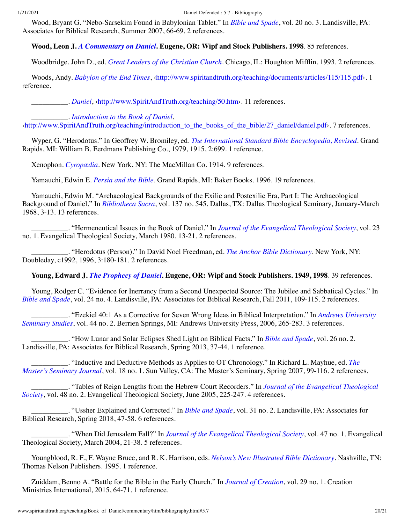Wood, Bryant G. "Nebo-Sarsekim Found in Babylonian Tablet." In *[Bible and Spade](#page-1-7)*, vol. 20 no. 3. Landisville, PA: Associates for Biblical Research, Summer 2007, 66-69. 2 references.

## **Wood, Leon J.** *[A Commentary on Daniel](http://www.amazon.com/gp/search/ref=sr_adv_b/?search-alias=stripbooks&unfiltered=1&field-title=A%20Commentary%20on%20Daniel)***. Eugene, OR: Wipf and Stock Publishers. 1998**. 85 references.

<span id="page-19-0"></span>Woodbridge, John D., ed. *[Great Leaders of the Christian Church](http://www.amazon.com/gp/search/ref=sr_adv_b/?search-alias=stripbooks&unfiltered=1&field-title=Great%20Leaders%20of%20the%20Christian%20Church)*. Chicago, IL: Houghton Mifflin. 1993. 2 references.

Woods, Andy. *[Babylon of the End Times](http://www.amazon.com/gp/search/ref=sr_adv_b/?search-alias=stripbooks&unfiltered=1&field-title=Babylon%20of%20the%20End%20Times)*, [‹http://www.spiritandtruth.org/teaching/documents/articles/115/115.pdf›](http://www.spiritandtruth.org/teaching/documents/articles/115/115.pdf). 1 reference.

\_\_\_\_\_\_\_\_\_\_. *[Daniel](http://www.amazon.com/gp/search/ref=sr_adv_b/?search-alias=stripbooks&unfiltered=1&field-title=Daniel)*, ‹[http://www.SpiritAndTruth.org/teaching/50.htm›](http://www.spiritandtruth.org/teaching/50.htm). 11 references.

\_\_\_\_\_\_\_\_\_\_. *[Introduction to the Book of Daniel](http://www.amazon.com/gp/search/ref=sr_adv_b/?search-alias=stripbooks&unfiltered=1&field-title=Introduction%20to%20the%20Book%20of%20Daniel)*,

[‹http://www.SpiritAndTruth.org/teaching/introduction\\_to\\_the\\_books\\_of\\_the\\_bible/27\\_daniel/daniel.pdf](http://www.spiritandtruth.org/teaching/introduction_to_the_books_of_the_bible/27_daniel/daniel.pdf)›. 7 references.

Wyper, G. "Herodotus." In Geoffrey W. Bromiley, ed. *[The International Standard Bible Encyclopedia, Revised](#page-2-4)*. Grand Rapids, MI: William B. Eerdmans Publishing Co., 1979, 1915, 2:699. 1 reference.

Xenophon. *[Cyropædia](http://www.amazon.com/gp/search/ref=sr_adv_b/?search-alias=stripbooks&unfiltered=1&field-title=Cyrop%C3%A6dia)*. New York, NY: The MacMillan Co. 1914. 9 references.

Yamauchi, Edwin E. *[Persia and the Bible](http://www.amazon.com/gp/search/ref=sr_adv_b/?search-alias=stripbooks&unfiltered=1&field-title=Persia%20and%20the%20Bible)*. Grand Rapids, MI: Baker Books. 1996. 19 references.

Yamauchi, Edwin M. "Archaeological Backgrounds of the Exilic and Postexilic Era, Part I: The Archaeological Background of Daniel." In *[Bibliotheca Sacra](#page-2-10)*, vol. 137 no. 545. Dallas, TX: Dallas Theological Seminary, January-March 1968, 3-13. 13 references.

\_\_\_\_\_\_\_\_\_\_. "Hermeneutical Issues in the Book of Daniel." In *[Journal of the Evangelical Theological Society](#page-9-10)*, vol. 23 no. 1. Evangelical Theological Society, March 1980, 13-21. 2 references.

\_\_\_\_\_\_\_\_\_\_. "Herodotus (Person)." In David Noel Freedman, ed. *[The Anchor Bible Dictionary](#page-6-1)*. New York, NY: Doubleday, c1992, 1996, 3:180-181. 2 references.

## **Young, Edward J.** *[The Prophecy of Daniel](http://www.spiritandtruth.org/id/isbn.htm?1579101798)***. Eugene, OR: Wipf and Stock Publishers. 1949, 1998**. 39 references.

Young, Rodger C. "Evidence for Inerrancy from a Second Unexpected Source: The Jubilee and Sabbatical Cycles." In *[Bible and Spade](#page-1-8)*, vol. 24 no. 4. Landisville, PA: Associates for Biblical Research, Fall 2011, 109-115. 2 references.

[\\_\\_\\_\\_\\_\\_\\_\\_\\_\\_. "Ezekiel 40:1 As a Corrective for Seven Wrong Ideas in Biblical Interpretation." In](#page-0-2) *Andrews University Seminary Studies*, vol. 44 no. 2. Berrien Springs, MI: Andrews University Press, 2006, 265-283. 3 references.

\_\_\_\_\_\_\_\_\_\_. "How Lunar and Solar Eclipses Shed Light on Biblical Facts." In *[Bible and Spade](#page-1-9)*, vol. 26 no. 2. Landisville, PA: Associates for Biblical Research, Spring 2013, 37-44. 1 reference.

[\\_\\_\\_\\_\\_\\_\\_\\_\\_\\_. "Inductive and Deductive Methods as Applies to OT Chronology." In Richard L. Mayhue, ed.](#page-11-4) *The Master's Seminary Journal*, vol. 18 no. 1. Sun Valley, CA: The Master's Seminary, Spring 2007, 99-116. 2 references.

\_\_\_\_\_\_\_\_\_\_. "Tables of Reign Lengths from the Hebrew Court Recorders." In *Journal of the Evangelical Theological Society*[, vol. 48 no. 2. Evangelical Theological Society, June 2005, 225-247. 4 references.](#page-9-11)

\_\_\_\_\_\_\_\_\_\_. "Ussher Explained and Corrected." In *[Bible and Spade](#page-2-15)*, vol. 31 no. 2. Landisville, PA: Associates for Biblical Research, Spring 2018, 47-58. 6 references.

\_\_\_\_\_\_\_\_\_\_. "When Did Jerusalem Fall?" In *[Journal of the Evangelical Theological Society](#page-9-12)*, vol. 47 no. 1. Evangelical Theological Society, March 2004, 21-38. 5 references.

Youngblood, R. F., F. Wayne Bruce, and R. K. Harrison, eds. *[Nelson's New Illustrated Bible Dictionary](http://www.amazon.com/gp/search/ref=sr_adv_b/?search-alias=stripbooks&unfiltered=1&field-title=Nelson%E2%80%99s%20New%20Illustrated%20Bible%20Dictionary)*. Nashville, TN: Thomas Nelson Publishers. 1995. 1 reference.

Zuiddam, Benno A. "Battle for the Bible in the Early Church." In *[Journal of Creation](#page-9-13)*, vol. 29 no. 1. Creation Ministries International, 2015, 64-71. 1 reference.